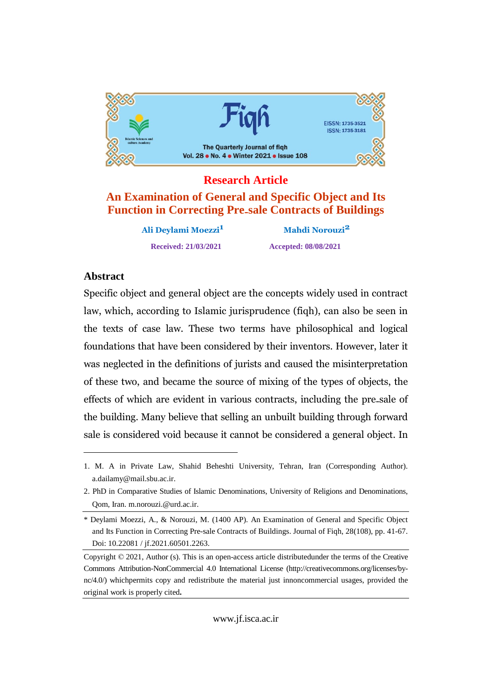

# **Research Article An Examination of General and Specific Object and Its Function in Correcting Pre-sale Contracts of Buildings**

**Ali Deylami Moezzi1 Mahdi Norouzi2 Received: 21/03/2021 Accepted: 08/08/2021**

# Abstract

Specific object and general object are the concepts widely used in contract  $\mathbf{r}$ which, according to Islamic jurisprudence (figh), can also be seen in the texts of case law. These two terms have philosophical and logical  $f(x) = f(x)$ foundations that have been considered by their inventors. However, later it neglected in the definitions of jurists and caused the misinterpretation these two, and became the source of mixing of the types of objects, the effects of which are evident in various contracts, including the pre-sale of the $\frac{1}{2}$  building. Many believe that selling an unbuilt building through forward salesale is considered void because it cannot be considered a general object. In

<sup>1.</sup> M. A in Private Law, Shahid Beheshti University, Tehran, Iran (Corresponding Author). a.dailamy@mail.sbu.ac.ir.

<sup>2.</sup> PhD in Comparative Studies of Islamic Denominations, University of Religions and Denominations, Qom, Iran. m.norouzi.@urd.ac.ir.

<sup>\*</sup> Deylami Moezzi, A., & Norouzi,M. (1400 AP). An Examination ofGeneral and Specific Object and Its Function in Correcting Pre-sale Contracts of Buildings. Journal of Fiqh, 28(108), pp. 41-67. Doi: 10.22081 / jf.2021.60501.2263.

Copyright © 2021, Author (s). This is an open-access article distributedunder the terms of the Creative Commons Attribution-NonCommercial 4.0 International License (http://creativecommons.org/licenses/by nc/4.0/) whichpermits copy and redistribute the material just innoncommercial usages, provided the original work is properly cited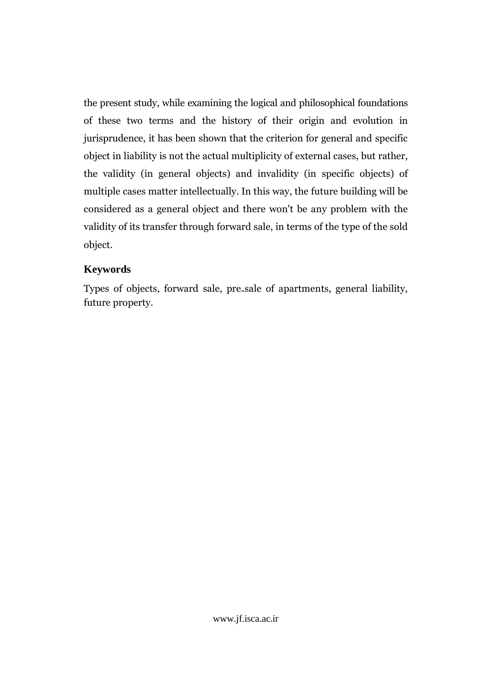the present study, while examining the logical and philosophical foundations of these two terms and the history of their origin and evolution in jurisprudence, it has been shown that the criterion for general and specific object in liability is not the actual multiplicity of external cases, but rather, the validity (in general objects) and invalidity (in specific objects) of multiple cases matter intellectually. In this way, the future building will be considered as a general object and there won't be any problem with the validity of its transfer through forward sale, in terms of the type of the sold object.

### **Keywords**

Types of objects, forward sale, pre-sale of apartments, general liability, future property.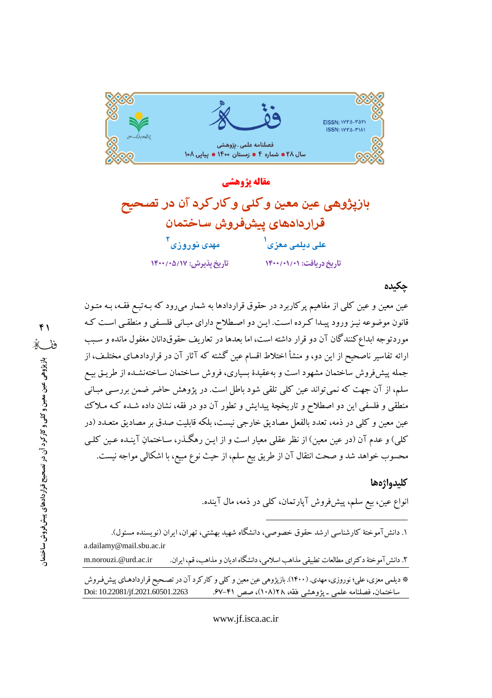

مقاله يژوهشي بازيژوهي عين معين وكلي وكاركرد آن در تصحيح قراردادهای پیشفروش ساختمان مه*دی* نوروزی ۲ على ديلمى معزى<sup>ا</sup> تاريخ پذيرش: ١٤/٥/١٧+/١٤٠٠ تاریخ دریافت: ۱۴۰۰/۰۱/۰۱

#### چکیدہ

عین معین و عین کلی از مفاهیم پرکاربرد در حقوق قراردادها به شمار میرود که بـهتبـع فقـه، بـه متـون .<br>قانون موضوعه نیـز ورود پیـدا کـرده اسـت. ایـن دو اصـطلاح دارای مبـانی فلسـفی و منطقـی اسـت کـه موردتوجه ابداع کنندگان آن دو قرار داشته است، اما بعدها در تعاریف حقوقدانان مغفول مانده و سـبب ارائه تفاسیر ناصحیح از این دو، و منشأ اختلاط اقسام عین گشته که آثار آن در قراردادهـای مختلـف، از جمله پیشفروش ساختمان مشهود است و بهعقیدهٔ بسیاری، فروش سـاختمان سـاختهنشـده از طریـق بیـع سلم، از آن جهت که نمی تواند عین کلی تلقی شود باطل است. در پژوهش حاضر ضمن بررسی مبـانی منطقی و فلسفی این دو اصطلاح و تاریخچهٔ پیدایش و تطور آن دو در فقه، نشان داده شـده کـه مـلاک عین معین و کلی در ذمه، تعدد بالفعل مصادیق خارجی نیست، بلکه قابلیت صدق بر مصادیق متعـدد (در کلی) و عدم آن (در عین معین) از نظر عقلبی معیار است و از ایـن رهگـذر، سـاختمانِ آینـده عـین کلـی محسوب خواهد شد و صحت انتقال آن از طريق بيع سلم، از حيث نوع مبيع، با اشكالي مواجه نيست.

#### كليدواژهها

انواع عین، بیع سلم، پیشفورش آپارتمان، کل<sub>ی</sub> در ذمه، مال آینده.

|                                                                                                              | ۱. دانش آموختهٔ کارشناسی ارشد حقوق خصوصی، دانشگاه شهید بهشتی، تهران، ایران (نویسنده مسئول). |                                                         |  |  |
|--------------------------------------------------------------------------------------------------------------|---------------------------------------------------------------------------------------------|---------------------------------------------------------|--|--|
| a.dailamy@mail.sbu.ac.ir                                                                                     |                                                                                             |                                                         |  |  |
| m.norouzi.@urd.ac.ir                                                                                         | ۲. دانش آموختهٔ دکترای مطالعات تطبیقی مذاهب اسلامی، دانشگاه ادیان و مذاهب، قم، ایران.       |                                                         |  |  |
| * دیلمی معزی، علی؛ نوروزی، مهدی. (۱۴۰۰). بازپژوهی عین معین و کلی و کارکرد آن در تصـحیح قراردادهـای پیش فـروش |                                                                                             |                                                         |  |  |
| Doi: 10.22081/jf.2021.60501.2263                                                                             |                                                                                             | ساختمان. فصلنامه علمی ـ پژوهشی فقه، ۱۸/(۱۰۸)، صص ۴۱-۶۷. |  |  |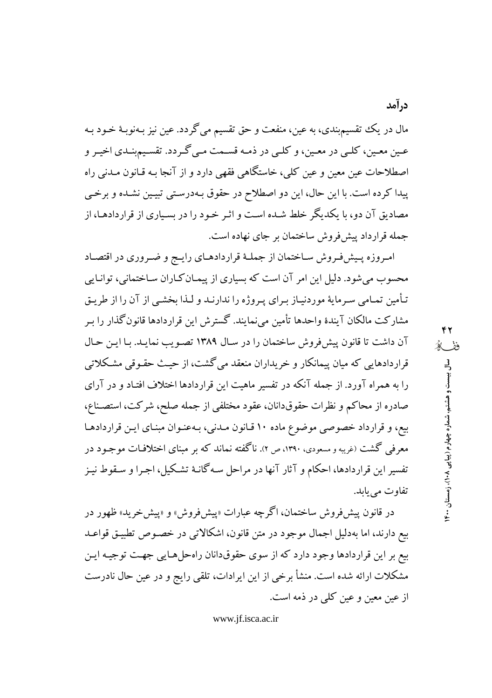مال در يك تقسيمېندي، به عين، منفعت و حق تقسيم ميگردد. عين نيز بـهنوبـهٔ خـود بـه عـين معـين، كلـي در معـين، و كلـي در ذمـه قسـمت مـي گـردد. تقسـيمېنــدي اخيـر و اصطلاحات عین معین و عین کلی، خاستگاهی فقهی دارد و از آنجا بـه قـانون مـدنی راه پیدا کرده است. با این حال، این دو اصطلاح در حقوق بـهدرسـتی تبیـین نشـده و برخـی مصادیق آن دو، با یکدیگر خلط شـده اسـت و اثـر خـود را در بسـیاری از قراردادهـا، از جمله قرارداد پیش فروش ساختمان بر جای نهاده است.

امروزه پیش فروش ساختمان از جملـهٔ قراردادهـای رایـج و ضـروری در اقتصـاد محسوب می شود. دلیل این امر آن است که بسیاری از پیمـان کـاران سـاختمانی، توانـایی تأمین تمـامی سـرمایهٔ موردنیـاز بـرای پـروژه را ندارنـد و لـذا بخشـی از آن را از طریـق مشارکت مالکان آیندهٔ واحدها تأمین میiمایند. گسترش این قراردادها قانونگذار را بـر آن داشت تا قانون پیش فروش ساختمان را در سال ۱۳۸۹ تصویب نمایـد. بـا ایـن حـال قراردادهایی که میان پیمانکار و خریداران منعقد می گشت، از حیث حقـوقی مشـکلاتی را به همراه آورد. از جمله آنکه در تفسیر ماهیت این قراردادها اختلاف افتـاد و در آرای صادره از محاکم و نظرات حقوقدانان، عقود مختلفی از جمله صلح، شرکت، استصناع، بیع، و قرارداد خصوصی موضوع ماده ۱۰ قـانون مـدنی، بـهعنـوان مبنـای ایـن قراردادهـا معرفی گشت (غریبه و مسعودی، ۱۳۹۰، ص ۲). ناگفته نماند که بر مبنای اختلافـات موجـود در تفسير اين قراردادها، احكام و آثار آنها در مراحل سـه گانـهٔ تشـكيل، اجـرا و سـقوط نيـز تفاوت مي يابد.

در قانون پیش فروش ساختمان، اگرچه عبارات «پیشفروش» و «پیشخرید» ظهور در بیع دارند، اما بهدلیل اجمال موجود در متن قانون، اشکالاتی در خصوص تطبیق قواعـد بیع بر این قراردادها وجود دارد که از سوی حقوقدانان راهحلهایی جهت توجیـه ایـن مشکلات ارائه شده است. منشأ برخی از این ایرادات، تلقی رایج و در عین حال نادرست از عین معین و عین کلی در ذمه است.

www.if.isca.ac.ir

درآمد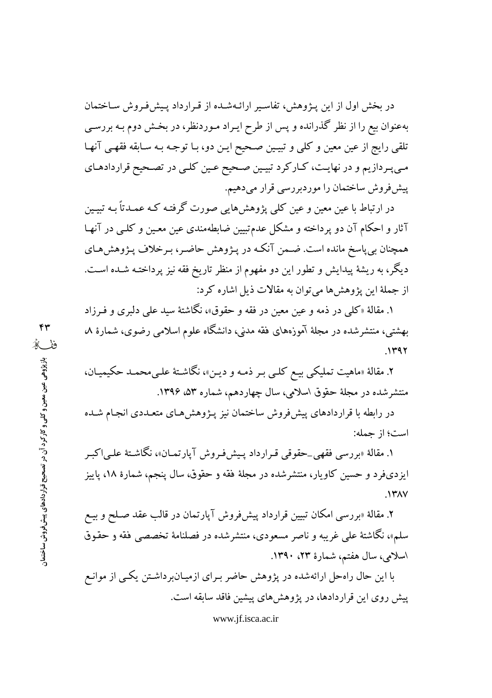در بخش اول از این پـژوهش، تفاسـیر ارائـهشـده از قـرارداد پـیشفرروش سـاختمان بهعنوان بیع را از نظر گذرانده و پس از طرح ایـراد مـوردنظر، در بخـش دوم بـه بررسـی تلقی رایج از عین معین و کلی و تبیـین صـحیح ایـن دو، بـا توجـه بـه سـابقه فقهـی آنهـا مبي پردازيم و در نهايت، كباركرد تبيين صحيح عين كلبي در تصحيح قراردادهاي ییش فروش ساختمان را موردبررسی قرار میدهیم.

در ارتباط با عین معین و عین کلی پژوهشهایی صورت گرفتـه کـه عمـدتاً بـه تبیـین آثار و احکام آن دو پرداخته و مشکل عدمتبیین ضابطهمندی عین معـین و کلـی در آنهـا همچنان بی پاسخ مانده است. ضـمن آنکـه در پـژوهش حاضـر، بـرخلاف پـژوهشهـاي دیگر، به ریشهٔ پیدایش و تطور این دو مفهوم از منظر تاریخ فقه نیز پرداختـه شـده اسـت. از جملهٔ این یژوهش ها می توان به مقالات ذیل اشاره کرد:

۱. مقالهٔ «کلبی در ذمه و عین معین در فقه و حقوق»، نگاشتهٔ سید علی دلبری و فـرزاد بهشتی، منتشرشده در مجلهٔ آموزههای فقه مدنی، دانشگاه علوم اسلامی رضوی، شمارهٔ ۸،  $.1497$ 

۲. مقالهٔ «ماهیت تملیکی بیـع کلـی بـر ذمـه و دیـن»، نگاشـتهٔ علـیمحمـد حکیمیـان، منتشرشده در مجلهٔ حقوق اسلامی، سال چهاردهم، شماره ۵۳، ۱۳۹۶.

در رابطه با قراردادهای پیش فروش ساختمان نیز پـژوهش هـای متعـددی انجـام شـده است؛ از جمله:

۱. مقالهٔ «بررسی فقهی ِحقوقی قبرارداد پیش فیروش آپارتیمان»، نگاشتهٔ علی اکبر ایزدیفرد و حسین کاویار، منتشرشده در مجلهٔ فقه و حقوق، سال پنجم، شمارهٔ ۱۸، پاییز  $\mathcal{N}$ 

۲. مقالهٔ «بررسی امکان تبیین قرارداد پیشفروش آپارتمان در قالب عقد صـلح و بیـع سلم»، نگاشتهٔ علی غریبه و ناصر مسعودی، منتشرشده در فصلنامهٔ تخصصی فقه و حقوق اسلامی، سال هفتم، شمارهٔ ۲۳، ۱۳۹۰.

با این حال راهحل ارائهشده در پژوهش حاضر بـرای ازمیـانبرداشـتن یکـی از موانـع پیش روی این قراردادها، در پژوهش های پیشین فاقد سابقه است.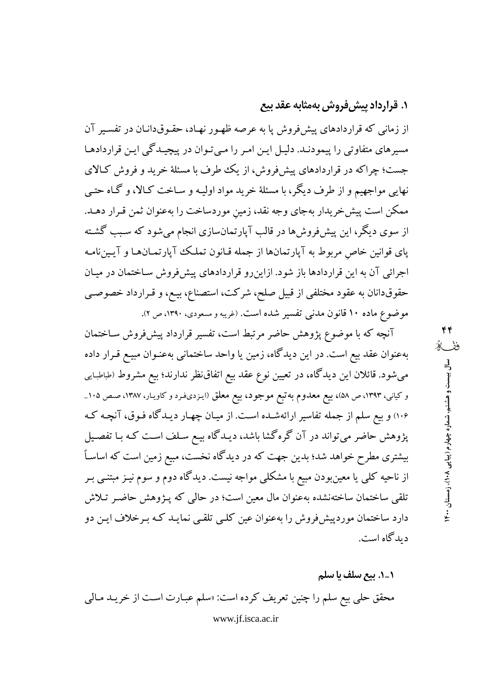# **۱. قرارداد پیش فروش بهمثابه عقد بیع**

از زمانی که قراردادهای پیش فروش یا به عرصه ظهـور نهـاد، حقـوقدانـان در تفسـیر آن مسیرهای متفاوتی را پیمودنـد. دلیـل ایـن امـر را مـیتـوان در پیچیـدگی ایـن قراردادهـا جست؛ چراکه در قراردادهای پیش فروش، از یک طرف با مسئلهٔ خرید و فروش کـالای نهایی مواجهیم و از طرف دیگر، با مسئلهٔ خرید مواد اولیـه و سـاخت کـالا، و گـاه حتـی ممکن است پیش خریدار بهجای وجه نقد، زمین موردساخت را بهعنوان ثمن قـرار دهـد. از سوی دیگر، این پیش فروش ها در قالب آپارتمانسازی انجام می شود که سبب گشته یای قوانین خاص مربوط به آپارتمانها از جمله قـانون تملـک آپارتمـانهـا و آپـینiامـه اجرائی آن به این قراردادها باز شود. ازاین رو قراردادهای پیشفروش ساختمان در میان حقوقدانان به عقود مختلفي از قبيل صلح، شركت، استصناع، بيـع، و قـرارداد خصوصـي موضوع ماده ۱۰ قانون مدنی تفسیر شده است. (غریبه و مسعودی، ۱۳۹۰، ص ۲).

آنچه که با موضوع پژوهش حاضر مرتبط است، تفسیر قرارداد پیش فروش سـاختمان بهعنوان عقد بیع است. در این دیدگاه، زمین یا واحد ساختمانی بهعنـوان مبیـع قـرار داده میشود. قائلان این دیدگاه، در تعیین نوع عقد بیع اتفاقنظر ندارند؛ بیع مشروط (طباطبایی و کیانی، ۱۳۹۳، ص ۵۸)، بیع معدوم به تبع موجود، بیع معلق (ایـزدیفـرد و کاویـار، ۱۳۸۷، صـص ۱۰۵\_ ۱۰۶) و بیع سلم از جمله تفاسیر ارائهشـده اسـت. از میـان چهـار دیـدگاه فـوق، آنچـه کـه پژوهش حاضر میتواند در آن گرهگشا باشد، دیـدگاه بیـع سـلف اسـت کـه بـا تفصـیل بیشتری مطرح خواهد شد؛ بدین جهت که در دیدگاه نخست، مبیع زمین است که اساساً از ناحیه کلبی یا معینبودن مبیع با مشکلبی مواجه نیست. دیدگاه دوم و سوم نیـز مبتنـبی بـر تلقی ساختمان ساختهنشده بهعنوان مال معین است؛ در حالی که پـژوهش حاضـر تـلاش دارد ساختمان موردپیشفروش را بهعنوان عین کلبی تلقبی نمایـد کـه بـرخلاف ایـن دو دیدگاه است.

۱\_۱. بیع سلف یا سلم محقق حلي بيع سلم را چنين تعريف كرده است: «سلم عبـارت اسـت از خريـد مـالي www.jf.isca.ac.ir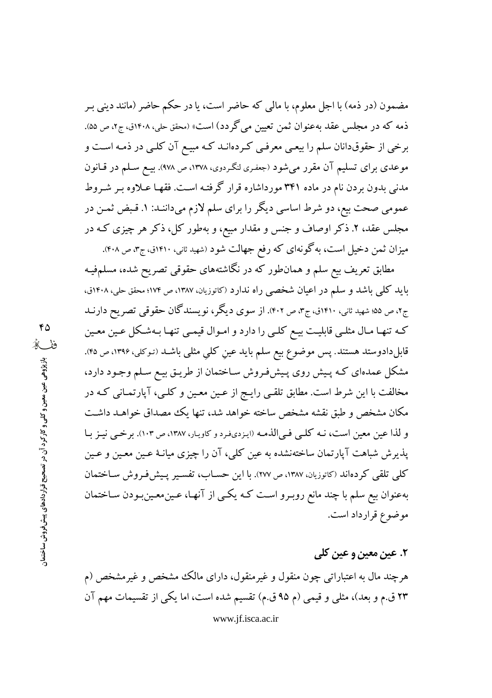مضمون (در ذمه) با اجل معلوم، با مالی که حاضر است، یا در حکم حاضر (مانند دینی بـر ذمه که در مجلس عقد بهعنوان ثمن تعیین می گردد) است» (محقق حلی، ۱۴۰۸ق، ج۲، ص ۵۵). برخی از حقوقدانان سلم را بیعبی معرفی کردهانـد کـه مبیـع آن کلـی در ذمـه اسـت و موعدی برای تسلیم آن مقرر میشود (جعفری لنگردوی، ۱۳۷۸، ص ۹۷۸). بیـع سـلم در قـانون مدنی بدون بردن نام در ماده ۳۴۱ مورداشاره قرار گرفته است. فقهـا عـلاوه بـر شـروط عمومی صحت بیع، دو شرط اساسی دیگر را برای سلم لازم میداننـد: ۱. قـبض ثمـن در مجلس عقد، ۲. ذکر اوصاف و جنس و مقدار مبیع، و بهطور کل، ذکر هر چیزی کـه در میزان ثمن دخیل است، به گونهای که رفع جهالت شود (شهید ثانی، ۱۴۱۰ق، ج۳، ص ۴۰۸).

مطابق تعریف بیع سلم و همانطور که در نگاشتههای حقوقی تصریح شده، مسلمفیـه باید کلبی باشد و سلم در اعیان شخصی راه ندارد (کاتوزیان، ۱۳۸۷، ص ۱۷۴؛ محقق حلبی، ۱۴۰۸ق، ج۲، ص ۵۵؛ شهید ثانی، ۱۴۱۰ق، ج۳، ص ۴۰۲). از سوی دیگر، نویسندگان حقوقی تصریح دارنــد کـه تنهـا مـال مثلـي قابليـت بيـع کلـي را دارد و امـوال قيمـي تنهـا بـهشـکل عـين معـين قابلدادوستد هستند. پس موضوع بیع سلم باید عین کلبی مثلبی باشـد (تـوکلبی، ۱۳۹۶، ص ۴۵). مشکل عمدهای کـه پـیش روی پـیشفروش سـاختمان از طریـق بیـع سـلم وجـود دارد، مخالفت با این شرط است. مطابق تلقبی رایـج از عـین معـین و کلـی، آپارتمـانی کـه در مکان مشخص و طبق نقشه مشخص ساخته خواهد شد، تنها یک مصداق خواهـد داشـت و لذا عین معین است، نـه کلـی فـی|لذمـه (ایـزدیفرد و کاویـار، ۱۳۸۷، ص ۱۰۳). برخـی نیـز بـا پذیرش شباهت آپارتمان ساختهنشده به عین کلبی، آن را چیزی میانـهٔ عـین معـین و عـین كلي تلقى كردهاند (كاتوزيان، ١٣٨٧، ص ٢٧٧). با اين حساب، تفسير پيش فروش ساختمان بهعنوان بیع سلم با چند مانع روبـرو اسـت کـه یکـی از آنهـا، عـین.معـینبـودن سـاختمان موضوع قرارداد است.

# ۲. عین معین و عین کلی

هرچند مال به اعتباراتی چون منقول و غیرمنقول، دارای مالک مشخص و غیرمشخص (م ۲۳ ق.م و بعد)، مثلی و قیمی (م ۹۵ ق.م) تقسیم شده است، اما یکی از تقسیمات مهم آن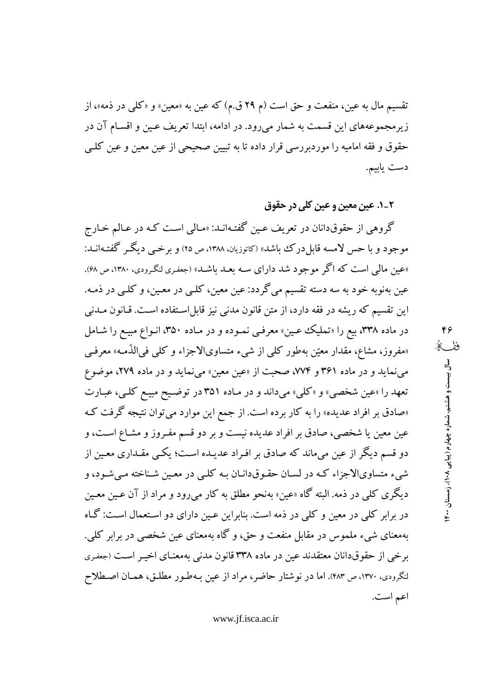تقسیم مال به عین، منفعت و حق است (م ۲۹ ق.م) که عین به «معین» و «کلبی در ذمه»، از زیر مجموعههای این قسمت به شمار می رود. در ادامه، ابتدا تعریف عین و اقسـام آن در حقوق و فقه امامیه را موردبررسی قرار داده تا به تبیین صحیحی از عین معین و عین کلـی دست يابيم.

٢\_١. عين معين و عين كلي در حقوق

گروهی از حقوقدانان در تعریف عـین گفتـهانـد: «مـالی اسـت کـه در عـالـم خـارج موجود و با حس لامسه قابل درک باشد» (کاتوزیان، ۱۳۸۸، ص ۲۵) و برخبی دیگر گفتـهانــد: «عین مالی است که اگر موجود شد دارای سـه بعـد باشـد» (جعفـری لنگـرودی، ۱۳۸۰، ص ۶۸). عین بهنوبه خود به سه دسته تقسیم می گردد: عین معین، کلـی در معـین، و کلـی در ذمـه. این تقسیم که ریشه در فقه دارد، از متن قانون مدنی نیز قابل!ستفاده است. قـانون مــدنی در ماده ۳۳۸، بیع را «تملیک عـین» معرفـی نمـوده و در مـاده ۳۵۰، انـواع مبیـع را شـامل «مفروز، مشاع، مقدار معیّن بهطور کلبی از شبیء متساویالاجزاء و کلبی فی الذّمه» معرفبی می نماید و در ماده ۳۶۱ و ۷۷۴، صحبت از «عین معین» می نماید و در ماده ۲۷۹، موضوع تعهد را «عین شخصی» و «کلی» میداند و در ماده ۳۵۱ در توضیح مبیع کلبی، عبـارت «صادق بر افراد عدیده» را به کار برده است. از جمع این موارد میتوان نتیجه گرفت کـه عین معین یا شخصی، صادق بر افراد عدیده نیست و بر دو قسم مفـروز و مشـاع اسـت، و دو قسم دیگر از عین میماند که صادق بر افـراد عدیـده اسـت؛ یکـی مقـداری معـین از شيء متساويالاجزاء كـه در لسـان حقـوقدانـان بـه كلـي در معـين شـناخته مـي شـود، و ديگري کلي در ذمه. البته گاه «عين» بهنحو مطلق به کار مي رود و مراد از آن عـين معـين در برابر کلی در معین و کلی در ذمه است. بنابراین عـین دارای دو اسـتعمال اسـت: گـاه بهمعنای شیء ملموس در مقابل منفعت و حق، و گاه بهمعنای عین شخصی در برابر کلی. برخی از حقوقدانان معتقدند عین در ماده ۳۳۸ قانون مدنی بهمعنـای اخیـر اسـت (جعفـری لنگرودي، ١٣٧٠، ص ۴٨٣). اما در نوشتار حاضر، مراد از عين بـهطـور مطلـق، همـان اصـطلاح اعم است.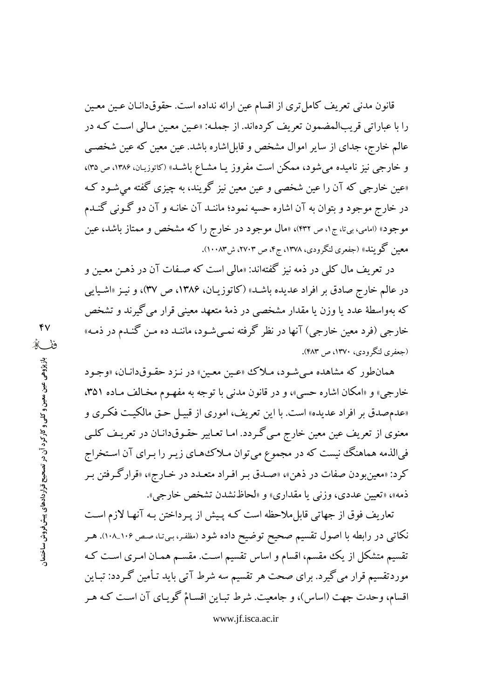قانون مدنی تعریف کامل تری از اقسام عین ارائه نداده است. حقوقدانـان عـین معـین را با عباراتي قريبالمضمون تعريف كردهاند. از جملـه: «عـين معـين مـالي اسـت كـه در عالم خارج، جدای از سایر اموال مشخص و قابلِاشاره باشد. عین معین که عین شخصـی و خارجی نیز نامیده می شود، ممکن است مفروز یـا مشـاع باشـد» (کاتوزیـان، ۱۳۸۶، ص ۳۵)، «عین خارجی که آن را عین شخصی و عین معین نیز گویند، به چیزی گفته می شـود کـه در خارج موجود و بتوان به آن اشاره حسیه نمود؛ ماننـد آن خانـه و آن دو گـونی گنـدم موجود» (امامی، بیتا، ج۱، ص ۴۳۲)، «مال موجود در خارج را که مشخص و ممتاز باشد، عین معین گویند» (جفعری لنگرودی، ۱۳۷۸، ج۴، ص ۲۷۰۳، ش۱۰۰۸۳).

در تعریف مال کلبی در ذمه نیز گفتهاند: «مالمی است که صـفات آن در ذهـن معـین و در عالم خارج صادق بر افراد عدیده باشـد» (کاتوزیـان، ۱۳۸۶، ص ۳۷)، و نیـز «اشـیایی که بهواسطهٔ عدد یا وزن یا مقدار مشخصی در ذمهٔ متعهد معینی قرار می گیرند و تشخص خارجی (فرد معین خارجی) آنها در نظر گرفته نمـیشـود، ماننـد ده مـن گنـدم در ذمـه» (جعفري لنگرودي، ١٣٧٠، ص ۴۸۳).

همانطور که مشاهده مـي شـود، مـلاک «عـين معـين» در نـزد حقـوقدانـان، «وجـود خارجي» و «امكان اشاره حسي»، و در قانون مدنى با توجه به مفهـوم مخـالف مـاده ٣٥١، «عدم صدق بر افراد عدیده» است. با این تعریف، اموری از قبیـل حـق مالکیـت فکـری و معنوی از تعریف عین معین خارج مـیگـردد. امـا تعـابیر حقـوقدانـان در تعریـف کلـی فیالذمه هماهنگ نیست که در مجموع میتوان مـلاک هـای زیـر را بـرای آن اسـتخراج کرد: «معینبودن صفات در ذهن»، «صـدق بـر افـراد متعـدد در خـارج»، «قرارگـرفتن بـر ذمه»، «تعيين عددي، وزني يا مقداري» و «لحاظ نشدن تشخص خارجي».

تعاریف فوق از جهاتی قابل ملاحظه است کـه پـیش از پـرداختن بـه آنهـا لازم اسـت نکاتبی در رابطه با اصول تقسیم صحیح توضیح داده شود (مظفر، بیتا، صص ۱۰۶\_۱۰۸). هـر تقسیم متشکل از یک مقسم، اقسام و اساس تقسیم است. مقســم همـان امـری اسـت کـه موردتقسیم قرار می گیرد. برای صحت هر تقسیم سه شرط آتی باید تـأمین گـردد: تبـاین اقسام، وحدت جهت (اساس)، و جامعیت. شرط تبـاین اقسـامْ گویـای آن اسـت کـه هـر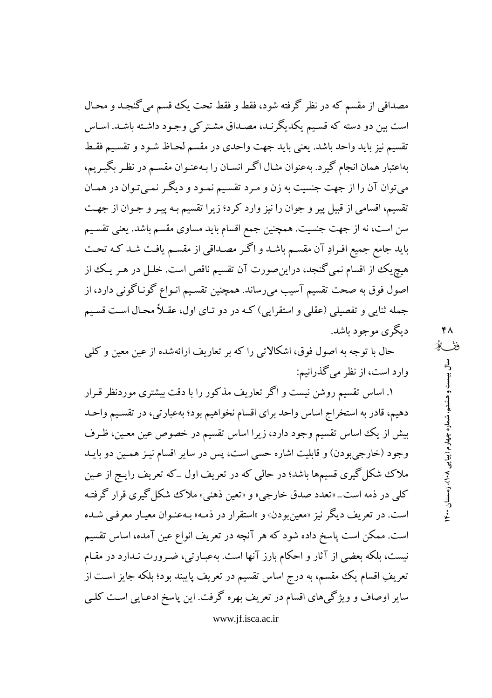مصداقی از مقسم که در نظر گرفته شود، فقط و فقط تحت یک قسم می گنجـد و محـال است بین دو دسته که قسیم یکدیگرنـد، مصـداق مشـتر کې وجـود داشـته باشـد. اسـاس تقسيم نيز بايد واحد باشد. يعني بايد جهت واحدى در مقسم لحـاظ شـود و تقسـيم فقـط بهاعتبار همان انجام گیرد. بهعنوان مثـال اگـر انسـان را بـهعنـوان مقسـم در نظـر بگیـریم، میتوان آن را از جهت جنسیت به زن و مـرد تقسـیم نمـود و دیگـر نمـیتـوان در همـان تقسیم، اقسامی از قبیل پیر و جوان را نیز وارد کرد؛ زیرا تقسیم بـه پیـر و جـوان از جهـت سن است، نه از جهت جنسیت. همچنین جمع اقسام باید مساوی مقسم باشد. یعنی تقسیم باید جامع جمیع افـرادِ آن مقسـم باشـد و اگـر مصـداقی از مقسـم یافـت شـد کـه تحـت هیچ یک از اقسام نمی گنجد، دراین صورت آن تقسیم ناقص است. خلـل در هـر یـک از اصول فوق به صحت تقسیم آسیب میرساند. همچنین تقسیم انـواع گونـاگونی دارد، از جمله ثنایی و تفصیلی (عقلی و استقرایی) کـه در دو تـای اول، عقـلاً محـال اسـت قسـیم دبگری موجود پاشد.

حال با توجه به اصول فوق، اشکالاتی را که بر تعاریف ارائهشده از عین معین و کلی وارد است، از نظر می گذرانیم:

۱. اساس تقسیم روشن نیست و اگر تعاریف مذکور را با دقت بیشتری موردنظر قـرار دهیم، قادر به استخراج اساس واحد برای اقسام نخواهیم بود؛ بهعبارتی، در تقسیم واحـد بیش از یک اساس تقسیم وجود دارد، زیرا اساس تقسیم در خصوص عین معین، ظـرف وجود (خارجي بودن) و قابليت اشاره حسي است، پس در ساير اقسام نيـز همـين دو بايـد ملاک شکل گیری قسیمها باشد؛ در حالی که در تعریف اول \_که تعریف رایـج از عـین کلمی در ذمه است\_ «تعدد صدق خارجی» و «تعین ذهنی» ملاک شکل گیری قرار گرفتـه است. در تعريف ديگر نيز «معين بودن» و «استقرار در ذمـه» بـهعنـوان معيـار معرفـي شـده است. ممکن است پاسخ داده شود که هر آنچه در تعریف انواع عین آمده، اساس تقسیم نیست، بلکه بعضی از آثار و احکام بارز آنها است. بهعبـارتی، ضـرورت نـدارد در مقـام تعریفِ اقسام یک مقسم، به درج اساس تقسیم در تعریف پایبند بود؛ بلکه جایز است از سایر اوصاف و ویژگیهای اقسام در تعریف بهره گرفت. این پاسخ ادعـایی اسـت کلـی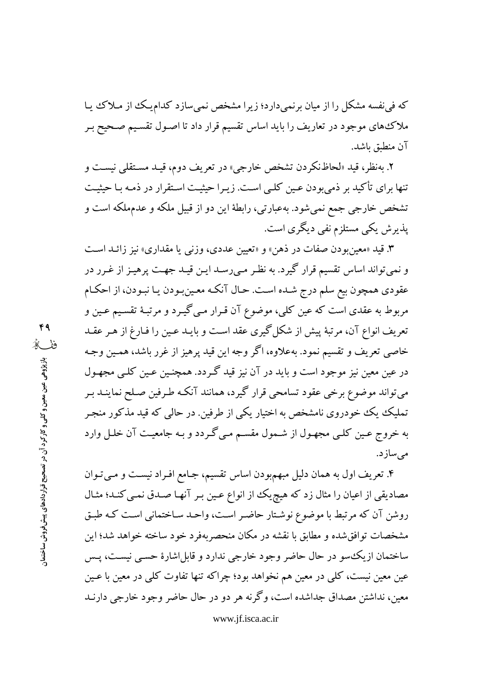که فی نفسه مشکل را از میان برنمیدارد؛ زیرا مشخص نمیسازد کدام یک از مـلاک یـا ملاک۵های موجود در تعاریف را باید اساس تقسیم قرار داد تا اصـول تقسـیم صـحیح بـر آن منطبق باشد.

۲. بهنظر، قید «لحاظنکردن تشخص خارجی» در تعریف دوم، قیـد مسـتقلبی نیسـت و تنها برای تأکید بر ذمی بودن عـین کلـی اسـت. زیـرا حیثیـت اسـتقرار در ذمـه بـا حیثیـت تشخص خارجی جمع نمیشود. بهعبارتی، رابطهٔ این دو از قبیل ملکه و عدمملکه است و پذیرش یکی مستلزم نفی دیگری است.

۳. قید «معین بودن صفات در ذهن» و «تعیین عددی، وزنبی یا مقداری» نیز زائـد اسـت و نمیتواند اساس تقسیم قرار گیرد. به نظـر مـی(سـد ایـن قیـد جهـت پرهیـز از غـرر در عقودي همچون بيع سلم درج شـده اسـت. حـال آنكـه معـينبـودن يـا نبـودن، از احكـام مربوط به عقدی است که عین کلی، موضوع آن قـرار مـی گـیـرد و مرتبـهٔ تقسـیم عـین و تعریف انواع آن، مرتبهٔ پیش از شکل گیری عقد است و بایـد عـین را فـارغ از هـر عقـد خاصی تعریف و تقسیم نمود. بهعلاوه، اگر وجه این قید پرهیز از غرر باشد، همـین وجـه در عین معین نیز موجود است و باید در آن نیز قید گـردد. همچنـین عـین کلـی مجهـول می تواند موضوع برخی عقود تسامحی قرار گیرد، همانند آنکـه طـرفین صـلح نماینــد بـر تملیک یک خودروی نامشخص به اختیار یکی از طرفین. در حالبی که قید مذکور منجـر به خروج عـین کلـی مجهـول از شـمول مقسـم مـی گـردد و بـه جامعیـت آن خلـل وارد مىسازد.

۴. تعریف اول به همان دلیل مبهم٬بودن اساس تقسیم، جـامع افـراد نیسـت و مـیتوان مصادیقی از اعیان را مثال زد که هیچ یک از انواع عـین بـر آنهـا صـدق نمـی کنـد؛ مثـال روشن آن که مرتبط با موضوع نوشتار حاضر است، واحـد سـاختمانی اسـت کـه طبـق مشخصات توافق شده و مطابق با نقشه در مکان منحصربهفرد خود ساخته خواهد شد؛ این ساختمان ازیک سو در حال حاضر وجود خارجی ندارد و قابل اشارهٔ حسبی نیست، پــس عین معین نیست، کلی در معین هم نخواهد بود؛ چراکه تنها تفاوت کلی در معین با عـین معین، نداشتن مصداق جداشده است، وگر نه هر دو در حال حاضر وجود خارجی دارنـد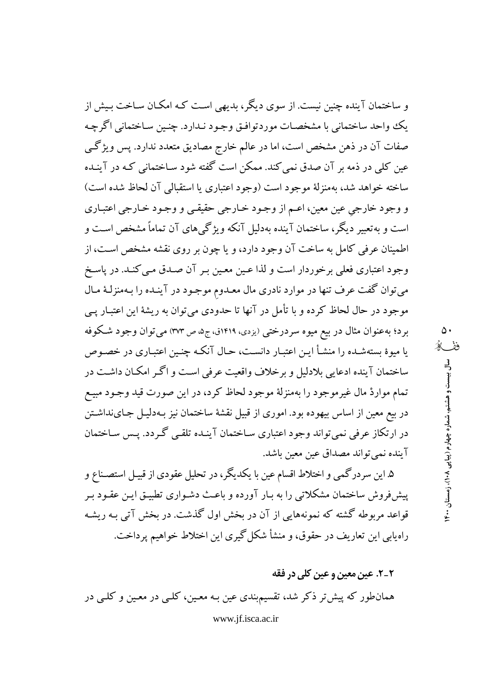و ساختمان آینده چنین نیست. از سوی دیگر، پدیهی است کـه امکـان سـاخت پـیش از يک وواحد ساختماني با مشخصـات موردتوافـق وجـود نـدارد. چنـين سـاختماني اگرچـه صفات آن در ذهن مشخص است، اما در عالم خارج مصادیق متعدد ندارد. پس ویژگی عین کلی در ذمه بر آن صدق نمی کند. ممکن است گفته شود ساختمانی کـه در آینـده ساخته خواهد شد، بهمنزلهٔ موجود است (وجود اعتباری یا استقبالی آن لحاظ شده است) و وجود خارجي عين معين، اعـم از وجـود خـارجي حقيقـي و وجـود خـارجي اعتبـاري است و به تعبیر دیگر، ساختمان آینده بهدلیل آنکه ویژگیهای آن تماماً مشخص است و اطمینان عرفی کامل به ساخت آن وجود دارد، و یا چون بر روی نقشه مشخص است، از وجود اعتباری فعلی برخوردار است و لذا عـین معـین بـر آن صـدق مـی کنـد. در پاسـخ می توان گفت عرف تنها در موارد نادری مال معـدوم موجـود در آینـده را بـهمنزلـهٔ مـال موجود در حال لحاظ کرده و با تأمل در آنها تا حدودی می توان به ریشهٔ این اعتبـار پــی برد؛ بهعنوان مثال در بیع میوه سردرختی (یزدی، ۱۴۱۹ق، ج۵، ص ۳۷۳) می توان وجود شکوفه یا میوهٔ بستهشـده را منشـأ ایـن اعتبـار دانسـت، حـال آنکـه چنـین اعتبـاری در خصـوص ساختمان آينده ادعايي بلادليل و برخلاف واقعيت عرفي است و اگـر امكـان داشـت در تمام مواردْ مال غیرموجود را بهمنزلهٔ موجود لحاظ کرد، در این صورت قید وجـود مبیـع در بیع معین از اساس بیهوده بود. اموری از قبیل نقشهٔ ساختمان نیز بـهدلیـل جـاینداشـتن در ارتکاز عرفی نمی تواند وجود اعتباری سـاختمان آینـده تلقـی گـردد. پـس سـاختمان آينده نمي تواند مصداق عين معين باشد.

۵. این سردرگمی و اختلاط اقسام عین با یکدیگر، در تحلیل عقودی از قبیـل استصـناع و پیش فروش ساختمان مشکلاتی را به بـار آورده و باعـث دشـواری تطبیـق ایـن عقـود بـر قواعد مربوطه گشته که نمونههایی از آن در بخش اول گذشت. در بخش آتی بـه ریشـه راه پابی این تعاریف در حقوق، و منشأ شکل گیری این اختلاط خواهیم پر داخت.

٢\_٢. عين معين و عين كلي در فقه

همانطور که پیش تر ذکر شد، تقسیمبندی عین بـه معـین، کلـی در معـین و کلـی در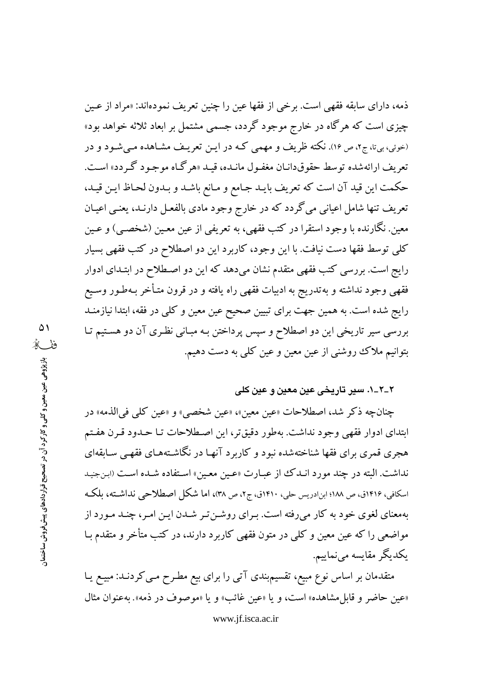ذمه، دارای سابقه فقهی است. برخی از فقها عین را چنین تعریف نمودهاند: «مراد از عـین چیزی است که هرگاه در خارج موجود گردد، جسمی مشتمل بر ابعاد ثلاثه خواهد بود» (خوئي، بي¤، ج٢، ص١۶). نكته ظريف و مهمي كـه در ايـن تعريـف مشـاهده مـي شـود و در تعريف ارائهشده توسط حقوقدانيان مغفـول مانيده، قبيد «هر گياه موجـو د گـردد» اسـت. حكمت اين قيد آن است كه تعريف بايـد جـامع و مـانع باشـد و بـدون لحـاظ ايـن قيـد، تعریف تنها شامل اعیانی میگردد که در خارج وجود مادی بالفعـل دارنـد، یعنـی اعیـان معین. نگارنده با وجود استقرا در کتب فقهی، به تعریفی از عین معـین (شخصـی) و عـین كلي توسط فقها دست نيافت. با اين وجود، كاربرد اين دو اصطلاح در كتب فقهي بسيار رایج است. بررسی کتب فقهی متقدم نشان میدهد که این دو اصطلاح در ابتـدای ادوار فقهی وجود نداشته و بهتدریج به ادبیات فقهی راه یافته و در قرون متـأخر بـهطـور وسـیع رايج شده است. به همين جهت براي تبيين صحيح عين معين وكلي در فقه، ابتدا نيازمنـد بررسی سیر تاریخی این دو اصطلاح و سپس پرداختن بـه مبـانی نظـری آن دو هسـتیم تـا بتوانیم ملاک روشنی از عین معین و عین کلی به دست دهیم.

## ٢\_٢\_١. سير تاريخي عين معين و عين كلي

چنانچه ذكر شد، اصطلاحات «عين معين»، «عين شخصي» و «عين كلَّي في الذمه» در ابتدای ادوار فقهی وجود نداشت. بهطور دقیقتر، این اصطلاحات تـا حـدود قـرن هفـتم هجری قمری برای فقها شناختهشده نبود و کاربرد آنهـا در نگاشـتههـای فقهـی سـاىقهای نداشت. البته در چند مورد انـدک از عبـارت «عـین معـین» اسـتفاده شـده اسـت (ابنجنید اسکافی، ۱۴۱۶ق، ص ۱۸۸؛ ابن۱دریس حلی، ۱۴۱۰ق، ج۲، ص ۳۸)، اما شکل اصطلاحی نداشته، بلکه بهمعنای لغوی خود به کار میرفته است. بـرای روشـن تـر شـدن ایـن امـر، چنـد مـورد از مواضعی را که عین معین و کلبی در متون فقهی کاربرد دارند، در کتب متأخر و متقدم بـا يكديگر مقايسه مىنماييم.

متقدمان بر اساس نوع مبیع، تقسیمبندی آتی را برای بیع مطـرح مـی کردنـد: مبیـع یـا «عين حاضر و قابل مشاهده» است، و يا «عين غائب» و يا «موصوف در ذمه». بهعنوان مثال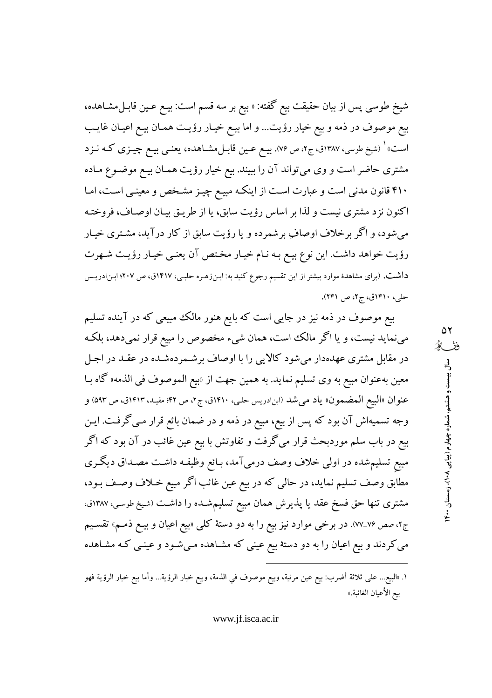شيخ طوسي پس از بيان حقيقت بيع گفته: « بيع بر سه قسم است: بيـع عـين قابـل0مشـاهده، بيع موصوف در ذمه و بيع خيار رؤيت... و اما بيـع خيـار رؤيـت همـان بيـع اعيـان غايـب است» <sup>(</sup> (شیخ طوسی، ۱۳۸۷ق، ج۲، ص ۷۶). بیــع عــین قابــلمشــاهده، یعنــی بیــع چیــزی کــه نــزد مشتری حاضر است و وی میتواند آن را ببیند. بیع خیار رؤیت همـان بیـع موضـوع مـاده ۴۱۰ قانون مدنی است و عبارت است از اینکه مبیـع چیـز مشـخص و معینـی اسـت، امـا اکنون نزد مشتری نیست و لذا بر اساس رؤیت سابق، یا از طریـق بیـان اوصـاف، فروختـه می شود، و اگر برخلاف اوصافِ برشمرده و یا رؤیت سابق از کار درآید، مشـتری خیـار رؤیت خواهد داشت. این نوع بیع بـه نـام خیـار مخـتص آن یعنـی خیـار رؤیـت شـهرت داشت. (برای مشاهدهٔ موارد بیشتر از این تقسیم رجوع کنید به: ابـنiهـره حلبـی، ۱۴۱۷ق، ص ۲۰۷؛ ابـنادریـس حلي، ١۴١٠ق، ج٢، ص ٢۴١).

بیع موصوف در ذمه نیز در جایی است که بایع هنور مالک مبیعی که در آینده تسلیم می نماید نیست، و یا اگر مالک است، همان شیء مخصوص را مبیع قرار نمیدهد، بلکه در مقابل مشتری عهدهدار میشود کالایی را با اوصاف برشـمردهشـده در عقـد در اجـل معين بهعنوان مبيع به وي تسليم نمايد. به همين جهت از «بيع الموصوف في الذمه» گاه بـا عنوان «البيع المضمون» ياد مي شد (ابن١دريس حلي، ١٤١٠ق، ج٢، ص ٤٢؛ مفيد، ١٤١٣ق، ص ٥٩٣) و وجه تسمیهاش آن بود که پس از بیع، مبیع در ذمه و در ضمان بائع قرار مـی گرفـت. ایـن بیع در باب سلم موردبحث قرار میگرفت و تفاوتش با بیع عین غائب در آن بود که اگر مبیع تسلیم شده در اولی خلاف وصف درمیآمد، بـائع وظیفـه داشـت مصـداق دیگـری مطابق وصف تسلیم نماید، در حالی که در بیع عین غائب اگر مبیع خـلاف وصـف بـود، مشتری تنها حق فسخ عقد یا پذیرش همان مبیع تسلیمشـده را داشـت (شیخ طوسی، ۱۳۸۷ق، ج۲، صص ۷۶\_۷۷). در برخی موارد نیز بیع را به دو دستهٔ کلی «بیع اعیان و بیـع ذمـم» تقسـیم می کردند و بیع اعیان را به دو دستهٔ بیع عینی که مشـاهده مـیشـود و عینـی کـه مشـاهده

١. «البيع... على ثلاثة أضرب: بيع عين مرئية، وبيع موصوف في الذمة، وبيع خيار الرؤية... وأما بيع خيار الرؤية فهو بيع الأعيان الغائبة.»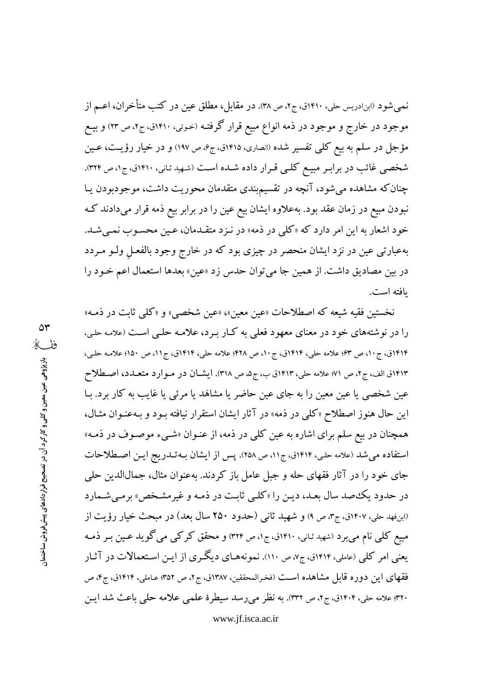نمیشود (ابنادریس حلی، ۱۴۱۰ق، ج۲، ص ۳۸). در مقابل، مطلق عین در کتب متأخران، اعــم از موجود در خارج و موجود در ذمه انواع مبیع قرار گرفتـه (خـوئی، ۱۴۱۰ق، ج۲، ص ۲۳) و بیــع مؤجل در سلم به بیع کلبی تفسیر شده (انصاری، ۱۴۱۵ق، ج۶، ص ۱۹۷) و در خیار رؤیت، عـین شخصی غائب در برابر مبیع کلی قرار داده شده است (شهید ثانی، ۱۴۱۰ق، ج۱، ص ۳۲۴). چنان که مشاهده میشود، آنچه در تقسیم٬ندی متقدمان محوریت داشت، موجودبودن یـا نبودن مبیع در زمان عقد بود. بهعلاوه ایشان بیع عین را در برابر بیع ذمه قرار میدادند کـه خود اشعار به این امر دارد که «کلی در ذمه» در نـزد متقـدمان، عـین محسـوب نمـیشـد. بهعبارتی عین در نزد ایشان منحصر در چیزی بود که در خارج وجود بالفعـل ولـو مـردد در بین مصادیق داشت. از همین جا میتوان حدس زد «عین» بعدها استعمال اعم خـود را يافته است.

نخستين فقيه شيعه كه اصطلاحات «عين معين»، «عين شخصي» و «كلَّى ثابت در ذمـه» را در نوشتههای خود در معنای معهود فعلی به کبار بـرد، علامـه حلـی اسـت (علامـه حلـی، ۱۴۱۴ق، ج۱۰، ص ۶۳؛ علامه حلي، ۱۴۱۴ق، ج۱۰، ص ۴۲۸؛ علامه حلي، ۱۴۱۴ق، ج۱۱، ص ۱۵۰؛ علامـه حلـي، ۱۴۱۳ق الف، ج۲، ص ۷۱؛ علامه حلي، ۱۴۱۳ق ب، ج۵، ص ٣١٨). ايشـان در مـوارد متعـدد، اصـطلاح عین شخصی یا عین معین را به جای عین حاضر یا مشاهَد یا مرئی یا غایب به کار برد. بـا این حال هنوز اصطلاح «کلّی در ذمه» در آثار ایشان استقرار نیافته بـود و بـهعنـوان مثـال، همچنان در بیع سلم برای اشاره به عین کلی در ذمه، از عنـوان «شـیء موصـوف در ذمـه» استفاده می شد (علامه حلبی، ۱۴۱۴ق، ج۱۱، ص ۲۵۸). پس از ایشان بـه تــدریج ایـن اصـطلاحات جای خود را در آثار فقهای حله و جبل عامل باز کردند. بهعنوان مثال، جمالالدین حلبی در حدود یک صد سال بعـد، دیـن را «کلـی ثابـت در ذمـه و غیرمشـخص» برمـیشـمارد (ابنفهد حلي، ۱۴۰۷ق، ج٣، ص ٩) و شهيد ثاني (حدود ٢۵٠ سال بعد) در مبحث خيار رؤيت از مبیع کلی نام میبرد (شهید ثانی، ۱۴۱۰ق، ج۱، ص ۳۲۴) و محقق کرکی می گوید عـین بـر ذمـه یعنی امر کلی (عاملی، ۱۴۱۴ق، ج۷، ص ۱۱۰). نمونههـای دیگـری از ایـن اسـتعمالات در آثـار فقهای این دوره قابل مشاهده است (فخرالمحققین، ۱۳۸۷ق، ج۲، ص ۳۵۲؛ عـاملی، ۱۴۱۴ق، ج۴، ص ۳۲۰؛ علامه حلي، ۱۴۰۴ق، ج۲، ص ۳۳۲). به نظر ميررسد سيطرة علمي علامه حلي باعث شد ايـن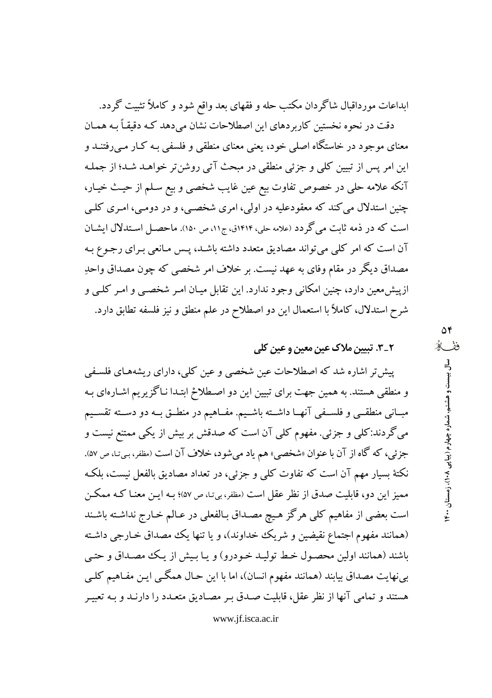ابداعات مورداقبال شاگردان مکتب حله و فقهای بعد واقع شود و کاملاً تثبیت گردد.

دقت در نحوه نخستین کاربر دهای این اصطلاحات نشان می دهد کـه دقیقـاً بـه همـان معنای موجود در خاستگاه اصلی خود، یعنی معنای منطقی و فلسفی بـه کـار مـی رفتنـد و این امر پس از تبیین کلی و جزئی منطقی در مبحث آتی روشن تر خواهـد شـد؛ از جملـه آنکه علامه حلي در خصوص تفاوت بيع عين غايب شخصي و بيع سـلم از حيـث خيـار، چنین استدلال می کند که معقودعلیه در اولی، امری شخصبی، و در دومبی، امـری کلـی است که در ذمه ثابت می گردد (علامه حلی، ۱۴۱۴ق، ج۱۱، ص ۱۵۰). ماحصـل اسـتدلال ایشــان آن است که امر کلی می تواند مصادیق متعدد داشته باشـد، پـس مـانعی بـرای رجـوع بـه مصداق دیگر در مقام وفای به عهد نیست. بر خلاف امر شخصی که چون مصداق واحدِ ازپیش،معین دارد، چنین امکانی وجود ندارد. این تقابل میـان امـر شخصـی و امـر کلـی و شرح استدلال، کاملاً با استعمال این دو اصطلاح در علم منطق و نیز فلسفه تطابق دارد.

٢\_٣. تبيين ملاک عين معين و عين کلي

پیش تر اشاره شد که اصطلاحات عین شخصی و عین کلبی، دارای ریشههـای فلسـفی و منطقی هستند. به همین جهت برای تبیین این دو اصطلاحْ ابتـدا نـاگزیریم اشـارهای بـه مبــانی منطقــی و فلســفی آنهــا داشــته باشــیم. مفــاهیم در منطــق بــه دو دســته تقســیم می گردند:کلی و جزئی. مفهوم کلی آن است که صدقش بر بیش از یکی ممتنع نیست و جزئي، كه گاه از آن با عنوان «شخصي» هم ياد ميشود، خلاف آن است (مظفر، بـي-نـا، ص ۵۷). نکتهٔ بسیار مهم آن است که تفاوت کلبی و جزئی، در تعداد مصادیق بالفعل نیست، بلکه ممیز این دو، قابلیت صدق از نظر عقل است (مظفر، بیتا، ص ۵۷)؛ بـه ایــن معنــا کـه ممکــن است بعضی از مفاهیم کلی هرگز هیچ مصـداق بـالفعلی در عـالم خـارج نداشـته باشـند (همانند مفهوم اجتماع نقیضین و شریک خداوند)، و یا تنها یک مصداق خـارجی داشـته باشند (همانند اولین محصـول خـط تولیـد خـودرو) و یـا بـیش از یـک مصـداق و حتـی بینهایت مصداق بیابند (همانند مفهوم انسان)، اما با این حـال همگـی ایـن مفـاهیم کلـی هستند و تمامی آنها از نظر عقل، قابلیت صـدق بـر مصـادیق متعـدد را دارنـد و بـه تعبیـر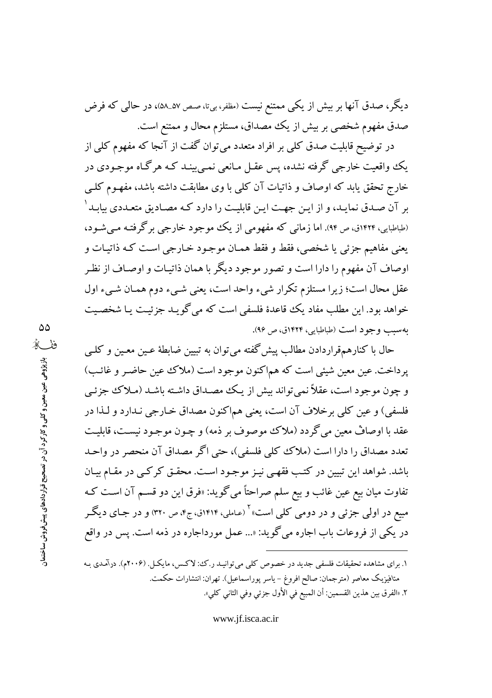دیگر، صدق آنها بر بیش از یکی ممتنع نیست (مظفر، بیتا، صص ۵۷\_۵۸)، در حالی که فرض صدق مفهوم شخصی بر بیش از یک مصداق، مستلزم محال و ممتنع است.

در توضیح قابلیت صدق کلی بر افراد متعدد می توان گفت از آنجا که مفهوم کلی از یک واقعیت خارجی گرفته نشده، پس عقبل مـانعی نمـی پینـد کـه هرگـاه موجـودی در خارج تحقق یابد که اوصاف و ذاتیات آن کلی با وی مطابقت داشته باشد، مفهـوم کلـی بر آن صـدق نمایـد، و از ایـن جهـت ایـن قابلیـت را دارد کـه مصـادیق متعـددی بیابـد<sup>\</sup> (طباطبایی، ۱۴۲۴ق، ص ۹۴). اما زمانی که مفهومی از یک موجود خارجی برگرفتـه مـی شـود، يعني مفاهيم جزئي يا شخصي، فقط و فقط همـان موجـود خـارجي اسـت كـه ذاتيـات و اوصاف آن مفهوم را دارا است و تصور موجود دیگر با همان ذاتیـات و اوصـاف از نظـر عقل محال است؛ زيرا مستلزم تكرار شيء واحد است، يعني شيء دوم همـان شـيء اول خواهد بود. این مطلب مفاد یک قاعدهٔ فلسفی است که می گویید جزئیت یا شخصیت بهسبب وجود است (طباطبايي، ١۴٢۴ق، ص ٩۶).

حال با کنارهمقراردادن مطالب پیش گفته می توان به تبیین ضابطهٔ عـین معـین و کلـی یرداخت. عین معین شیئی است که هماکنون موجود است (ملاک عین حاضر و غائب) و چون موجود است، عقلاً نمي تواند بيش از يـك مصـداق داشـته باشـد (مـلاك جزئـي فلسفی) و عین کلی برخلاف آن است، یعنی هماکنون مصداق خـارجی نـدارد و لـذا در عقد با اوصافٌ معين مي گردد (ملاک موصوف بر ذمه) و چـون موجـود نيسـت، قابليـت تعدد مصداق را دارا است (ملاك كلي فلسفي)، حتى اگر مصداق آن منحصر در واحـد باشد. شواهد این تبیین در کتب فقهبی نیـز موجـود اسـت. محقـق کر کـبی در مقـام بیـان تفاوت ميان بيع عين غائب و بيع سلم صراحتاً مي گويد: «فرق اين دو قسـم آن اسـت كـه مبیع در اولی جزئی و در دومی کلی است»<sup>۲</sup> (عاملی، ۱۴۱۴ق، ج۴، ص ۳۲۰) و در جـای دیگـر در یکی از فروعات باب اجاره میگوید: «... عمل مورداجاره در ذمه است. پس در واقع

۱. برای مشاهده تحقیقات فلسفی جدید در خصوص کلی میتوانیـد ر.ک، لاکـس، مایکـل. (۲۰۰۶م). درآمـدی بـه متافيزيک معاصر (مترجمان: صالح افروغ – ياسر پوراسماعيل). تهران: انتشارات حکمت. ٢. «الفرق بين هذين القسمين: أن المبيع في الأول جزئي وفي الثاني كلي».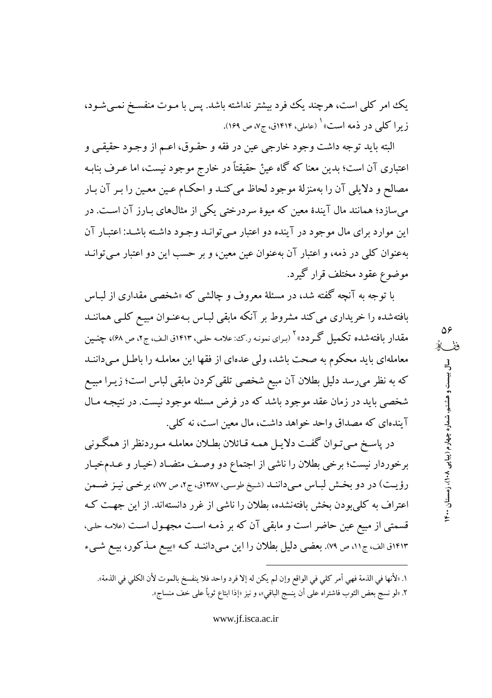یک امر کلی است، هرچند یک فود بیشتر نداشته باشد. پس با مـوت منفسـخ نمـیشـود، زیرا کلی در ذمه است» <sup>۱</sup> (عاملی، ۱۴۱۴ق، ج۷، ص ۱۶۹).

البته بايد توجه داشت وجود خارجي عين در فقه و حقـوق، اعـم از وجـود حقيقـي و اعتباری آن است؛ بدین معنا که گاه عینْ حقیقتاً در خارج موجود نیست، اما عـرف بنابـه مصالح و دلایلی آن را بهمنزلهٔ موجود لحاظ می کنـد و احکـام عـین معـین را بـر آن بـار می سازد؛ همانند مال آیندهٔ معین که میوهٔ سردرختی یکی از مثالهای بـارز آن اسـت. در این موارد برای مال موجود در آینده دو اعتبار مبی توانید وجود داشته باشید: اعتبار آن بهعنوان کلبی در ذمه، و اعتبار آن بهعنوان عین معین، و بر حسب این دو اعتبار میتوانـد موضوع عقود مختلف قرار گیرد.

با توجه به آنچه گفته شد، در مسئلهٔ معروف و چالشی که «شخصی مقداری از لبـاس بافتهشده را خریداری می کند مشروط بر آنکه مابقی لبـاس بـهعنـوان مبیـع کلـی هماننــد مقدار بافتهشده تکمیل گـردد»<sup>۲</sup> (بـرای نمونـه ر.ک: علامـه حلـی، ۱۴۱۳ق الـف، ج۲، ص ۶۸)، چنــین معاملهای باید محکوم به صحت باشد، ولی عدهای از فقها این معاملـه را باطـل مـیداننـد که به نظر میرسد دلیل بطلان آن مبیع شخصی تلقی کردن مابقی لباس است؛ زیـرا مبیـع شخصی باید در زمان عقد موجود باشد که در فرض مسئله موجود نیست. در نتیجـه مـال آیندهای که مصداق واحد خواهد داشت، مال معین است، نه کلی.

در پاسـخ مـيتـوان گفـت دلايـل همـه قـائلان بطـلان معاملـه مـوردنظر از همگـوني برخوردار نیست؛ برخی بطلان را ناشی از اجتماع دو وصف متضـاد (خیـار و عــدمخیـار رؤيت) در دو بخش لباس ميدانند (شيخ طوسي، ١٣٨٧ق، ج٢، ص ٧٧)، برخي نيز ضمن اعتراف به کلیبودن بخش بافتهنشده، بطلان را ناشی از غرر دانستهاند. از این جهت ک قسمتی از مبیع عین حاضر است و مابقی آن که بر ذمـه اسـت مجهـول اسـت (علامـه حلـی، ۱۴۱۳ق الف، ج۱۱، ص ۷۹). بعضی دلیل بطلان را این مـیداننـد کـه «بیـع مـذکور، بیـع شـیء

١. «لأنها في الذمة فهي أمر كلي في الواقع وإن لم يكن له إلا فرد واحد فلا ينفسخ بالموت لأن الكلي في الذمة». ٢. «لو نسج بعض الثوب فاشتراه على أن ينسج الباقي»، و نيز «إذا ابتاع ثوباً على خف منساج».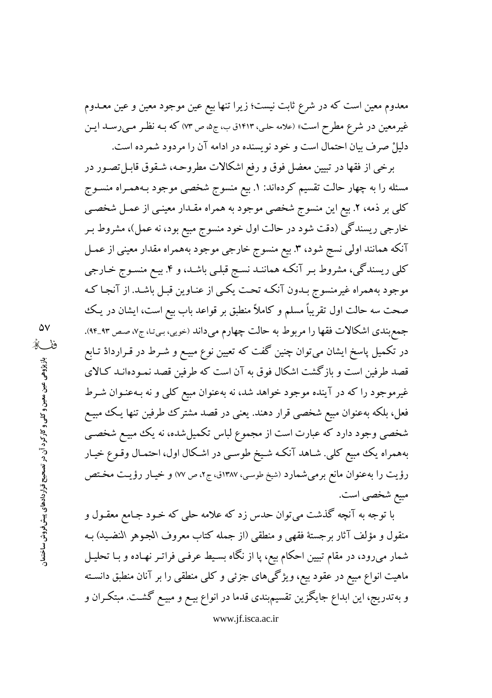معدوم معین است که در شرع ثابت نیست؛ زیرا تنها بیع عین موجود معین و عین معــدوم غیرمعین در شرع مطرح است» (علامه حلبی، ۱۴۱۳ق ب، ج۵، ص ۷۳) که بـه نظـر مـی(سـد ایـن دلیلْ صرف بیان احتمال است و خود نویسنده در ادامه آن را مردود شمرده است.

برخی از فقها در تبیین معضل فوق و رفع اشکالات مطروحـه، شـقوق قابـل تصـور در مسئله را به چهار حالت تقسیم کردهاند: ۱. بیع منسوج شخصی موجود بـههمـراه منسـوج کلی بر ذمه، ۲. بیع این منسوج شخصی موجود به همراه مقـدار معینـی از عمـل شخصـی خارجي ريسندگي (دقت شود در حالت اول خود منسوج مبيع بود، نه عمل)، مشروط بـر آنکه همانند اولی نسج شود، ۳. بیع منسوج خارجی موجود بههمراه مقدار معینی از عمـل کلی ریسندگی، مشروط بـر آنکـه هماننـد نسـج قبلـی باشـد، و ۴. بیـع منسـوج خـارجی موجود بههمراه غیرمنسوج بـدون آنکـه تحـت یکـی از عنـاوین قبـل باشـد. از آنجـا کـه صحت سه حالت اول تقریباً مسلم و کاملاً منطبق بر قواعد باب بیع است، ایشان در یک جمع بندي اشكالات فقها را مربوط به حالت چهارم مىداند (خويي، بيتـ، ج٧، صـص ٩٣\_٩۴). در تکمیل پاسخ ایشان می توان چنین گفت که تعیین نوع مبیـع و شــرط در قــراردادْ تــابع قصد طرفین است و بازگشت اشکال فوق به آن است که طرفین قصد نمـودهانـد کـالای غیرموجود را که در آینده موجود خواهد شد، نه بهعنوان مبیع کلی و نه بـهعنـوان شـرط فعل، بلکه بهعنوان مبیع شخصی قرار دهند. یعنی در قصد مشترک طرفین تنها یـک مبیـع شخصی وجود دارد که عبارت است از مجموع لباس تکمیلشده، نه یک مبیع شخصی بههمراه یک مبیع کلی. شـاهد آنکـه شـیخ طوسـی در اشـکال اول، احتمـال وقـوع خیـار رؤيت را به عنوان مانع برمي شمارد (شيخ طوسي، ١٣٨٧ق، ج٢، ص ٧٧) و خيـار رؤيـت مخـتص مبيع شخصي است.

با توجه به آنچه گذشت می توان حدس زد که علامه حلی که خـود جـامع معقـول و منقول و مؤلف آثار برجستهٔ فقهی و منطقی (از جمله کتاب معروف الجموهر النضید) بـه شمار میرود، در مقام تبیین احکام بیع، پا از نگاه بسیط عرفیی فراتـر نهـاده و بـا تحليـل ماهیت انواع مبیع در عقود بیع، ویژگیهای جزئی و کلی منطقی را بر آنان منطبق دانسـته و به تدریج، این ابداع جایگزین تقسیمبندی قدما در انواع بیـع و مبیـع گشـت. مبتکـران و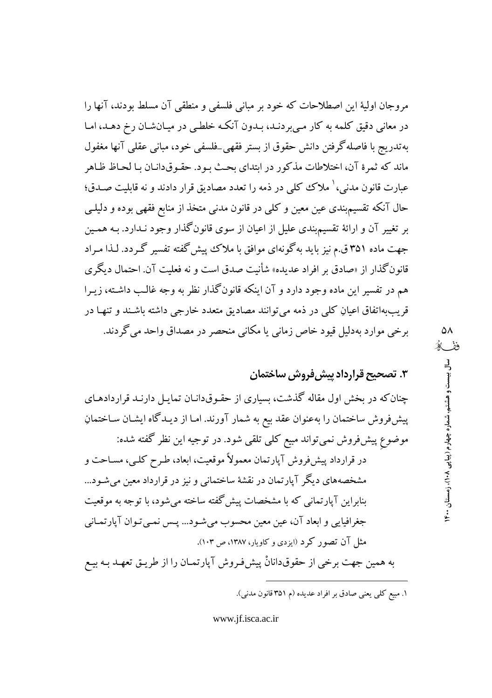مروجان اولیهٔ این اصطلاحات که خود بر مبانی فلسفی و منطقی آن مسلط بودند، آنها را در معانی دقیق کلمه به کار مبی بردنـد، بـدون آنکـه خلطـی در میـانشـان رخ دهـد، امـا به تدريج با فاصله گرفتن دانش حقوق از بستر فقهي\_فلسفي خود، مباني عقلبي آنها مغفول ماند که ثمرهٔ آن، اختلاطات مذکور در ابتدای بحث بـود. حقـوقدانـان بـا لحـاظ ظـاهر عبارت قانون مدنی، ٰ ملاک کلمی در ذمه را تعدد مصادیق قرار دادند و نه قابلیت صـدق؛ حال آنکه تقسیم؛ندی عین معین و کلی در قانون مدنی متخذ از منابع فقهی بوده و دلیلـی بر تغییر آن و ارائهٔ تقسیمبندی علیل از اعیان از سوی قانون گذار وجود نـدارد. بـه همـین جهت ماده ۳۵۱ ق.م نیز باید به گونهای موافق با ملاک پیش گفته تفسیر گـردد. لـذا مـراد قانون گذار از «صادق بر افراد عدیده» شأنیت صدق است و نه فعلیت آن. احتمال دیگری هم در تفسیر این ماده وجود دارد و آن اینکه قانونگذار نظر به وجه غالب داشته، زیـرا قریببهاتفاق اعیانِ کلی در ذمه میتوانند مصادیق متعدد خارجی داشته باشـند و تنهـا در برخي موارد بهدليل قيود خاص زماني يا مكاني منحصر در مصداق واحد مي گردند.

٣. تصحيح قرارداد پيش فروش ساختمان

چنان که در بخش اول مقاله گذشت، بسیاری از حقـوقدانـان تمایـل دارنـد قراردادهـای پیشفروش ساختمان را بهعنوان عقد بیع به شمار آورند. امـا از دیـدگاه ایشـان سـاختمانِ موضوع پیشفروش نمیتواند مبیع کلی تلقی شود. در توجیه این نظر گفته شده: در قرارداد پیشفووش آپارتمان معمولاً موقعیت، ابعاد، طـرح کلـی، مسـاحت و مشخصههای دیگر آپارتمان در نقشهٔ ساختمانی و نیز در قرارداد معین می شـود... بنابراین آپارتمانی که با مشخصات پیش گفته ساخته میشود، با توجه به موقعیت جغرافیایی و ابعاد آن، عین معین محسوب میشود... پـس نمـیتوان آپارتمـانی مثل آن تصور کرد (ایزدی و کاویار، ۱۳۸۷، ص ۱۰۳).

به همین جهت برخی از حقوقدانانْ پیشفرروش آپارتمـان را از طریـق تعهـد بـه بیـع

۱. مبیع کلی یعنی صادق بر افراد عدیده (م ۳۵۱ قانون مدنی).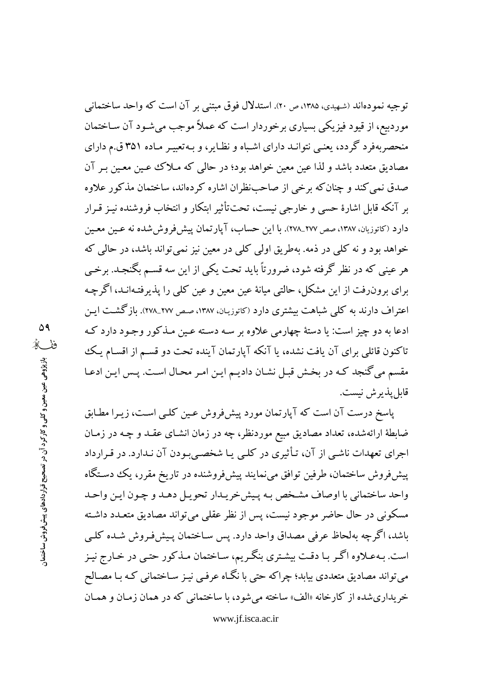توجيه نمودهاند (شهيدي، ۱۳۸۵، ص ۲۰). استدلال فوق مبتني بر آن است كه واحد ساختماني موردبیع، از قیود فیزیکی بسیاری برخوردار است که عملاً موجب می شـود آن سـاختمان منحصربهفرد گردد، یعنبی نتوانید دارای اشباه و نظایر، و بیهتعبیـر میاده ۳۵۱ ق.م دارای مصادیق متعدد باشد و لذا عین معین خواهد بود؛ در حالم که مـلاک عـین معـین بـر آن صدق نمی کند و چنان که برخی از صاحبنظران اشاره کردهاند، ساختمان مذکور علاوه بر آنکه قابل اشارهٔ حسی و خارجی نیست، تحتتأثیر ابتکار و انتخاب فروشنده نیـز قـرار دارد (کاتوزیان، ۱۳۸۷، صص ۲۷۷\_۲۷۸). با این حساب، آپارتمان پیش فروش شده نه عـین معـین خواهد بود و نه کلبی در ذمه. بهطریق اولبی کلبی در معین نیز نمبیتواند باشد، در حالبی که هر عینی که در نظر گرفته شود، ضرورتاً باید تحت یکی از این سه قســم بگنجـد. برخــی برای برون(فت از این مشکل، حالتی میانهٔ عین معین و عین کلی را پذیرفتهانـد، اگرچـه اعتراف دارند به کلبی شباهت بیشتری دارد (کاتوزیان، ۱۳۸۷، صص ۲۷۷\_۲۷۸). بازگشت ایـن ادعا به دو چیز است: یا دستهٔ چهارمی علاوه بر سـه دسـته عـین مـذکور وجـود دارد کـه تاکنون قائلی برای آن یافت نشده، یا آنکه آپارتمان آینده تحت دو قسـم از اقسـام یـک مقسم می گنجد کـه در بخـش قبـل نشـان داديـم ايـن امـر محـال اسـت. پـس ايـن ادعـا قابل پذير ش نيست.

پاسخ درست آن است که آپارتمان مورد پیشفورش عـین کلـی اسـت، زیـرا مطـابق ضابطهٔ ارائهشده، تعداد مصادیق مبیع موردنظر، چه در زمان انشـای عقـد و چـه در زمـان اجرای تعهدات ناشـی از آن، تـأثیری در کلـی یـا شخصـیبـودن آن نـدارد. در قـرارداد پیشفورش ساختمان، طرفین توافق می نمایند پیشفورشنده در تاریخ مقرر، یک دستگاه واحد ساختماني با اوصاف مشخص بـه پـيشخريـدار تحويـل دهـد و چـون ايـن واحـد مسکونی در حال حاضر موجود نیست، پس از نظر عقلبی میتواند مصادیق متعـدد داشـته باشد، اگر چه بهلحاظ عرفی مصداق واحد دارد. پس سـاختمان پـیشفروش شـده کلـی است. بـهعـلاوه اگـر بـا دقـت بيشـتري بنگـريم، سـاختمان مـذكور حتـي در خـارج نيـز می تواند مصادیق متعددی بیابد؛ چراکه حتی با نگـاه عرفـی نیـز سـاختمانی کـه بـا مصـالح خر پداري شده از كارخانه «الف» ساخته مي شود، با ساختماني كه در همان زمـان و همـان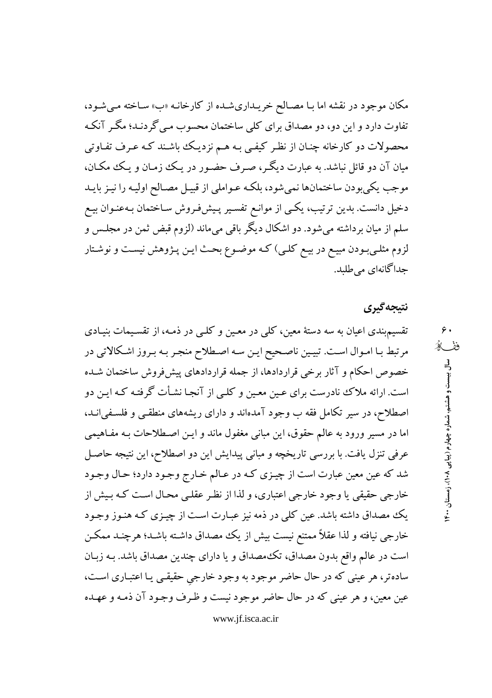مکان موجود در نقشه اما بـا مصـالح خریـداریشـده از کارخانـه «ب» سـاخته مـیشـود، تفاوت دارد و این دو، دو مصداق برای کلی ساختمان محسوب مـی گردنـد؛ مگـر آنکـه محصولات دو کارخانه چنـان از نظـر کیفـی بـه هـم نزدیـک باشـند کـه عـرف تفـاوتی مبان آن دو قائل نباشد. به عبارت دیگ ، صرف حضور در یک زمبان و یک مکبان، موجب يكي بودن ساختمانها نمي شود، بلكـه عـواملي از قبيـل مصـالح اوليـه را نيـز بايـد دخیل دانست. بدین ترتیب، یکسی از موانـع تفسـیر پـیشفرروش سـاختمان بـهعنـوان بیـع سلم از میان برداشته میشود. دو اشکال دیگر باقی میماند (لزوم قبض ثمن در مجلـس و لزوم مثلـیبودن مبیـع در بیـع کلـی) کـه موضـوع بحـث ایـن پـژوهش نیسـت و نوشـتار جداگانهای می طلبد.

### نتيجه گيري

 $\mathfrak{e}$  . ففگ

سال بیست و هشتم، شماره چهارم (پیاپی ۱۴۰۸)، زمستان ۱۴۰۰

تقسیم.بندی اعیان به سه دستهٔ معین، کلی در معـین و کلـی در ذمـه، از تقسـیمات بنیـادی مرتبط بـا امـوال اسـت. تبيـين ناصـحيح ايـن سـه اصـطلاح منجـر بـه بـروز اشـكالاتي در خصوص احکام و آثار برخی قراردادها، از جمله قراردادهای پیشفروش ساختمان شـده است. ارائه ملاک نادرست برای عـین معـین و کلـی از آنجـا نشـأت گرفتـه کـه ایـن دو اصطلاح، در سیر تکامل فقه ب وجود آمدهاند و دارای ریشههای منطقبی و فلسفی انـد، اما در مسیر ورود به عالم حقوق، این مبانی مغفول ماند و ایـن اصـطلاحات بـه مفـاهیمی عرفی تنزل یافت. با بررسی تاریخچه و مبانی پیدایش این دو اصطلاح، این نتیجه حاصل شد که عین معین عبارت است از چیـزی کـه در عـالم خـارج وجـود دارد؛ حـال وجـود خارجي حقيقي يا وجود خارجي اعتباري، و لذا از نظر عقلـي محـال اسـت كـه بـيش از یک مصداق داشته باشد. عین کلمی در ذمه نیز عبـارت اسـت از چیـزی کـه هنـوز وجـود خارجی نیافته و لذا عقلاً ممتنع نیست بیش از یک مصداق داشـته باشـد؛ هرچنـد ممکـن است در عالم واقع بدون مصداق، تكَ مصداق و يا داراي چندين مصداق باشد. بـه زبـان سادهتر، هر عینی که در حال حاضر موجود به وجود خارجی حقیقبی یـا اعتبـاری اسـت، عين معين، و هر عيني كه در حال حاضر موجود نيست و ظـرف وجـود آن ذمـه و عهـده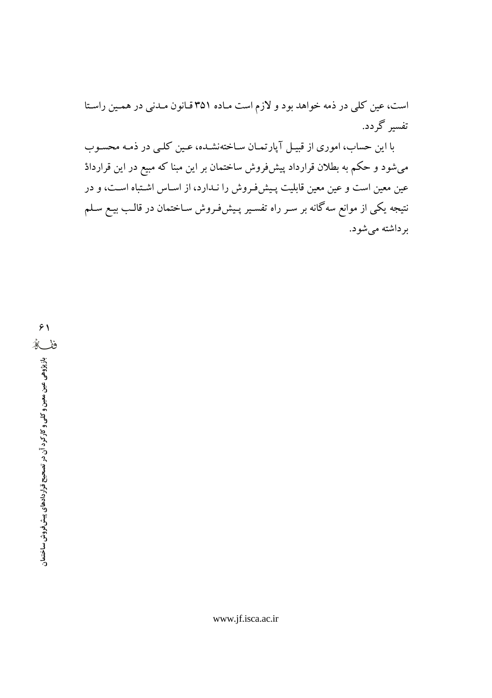است، عین کلی در ذمه خواهد بود و لازم است ماده ۳۵۱ قانون مـدنی در همـین راستا تفسیر گردد.

با این حساب، اموری از قبیل آپارتمان ساختهنشده، عین کلبی در ذمـه محسـوب میشود و حکم به بطلان قرارداد پیش فروش ساختمان بر این مبنا که مبیع در این قراردادْ عین معین است و عین معین قابلیت پـیشفروش را نـدارد، از اسـاس اشـتباه اسـت، و در نتیجه یکی از موانع سهگانه بر سـر راه تفسـیر پـیشفروش سـاختمان در قالـب بیـع سـلـم برداشته میشود.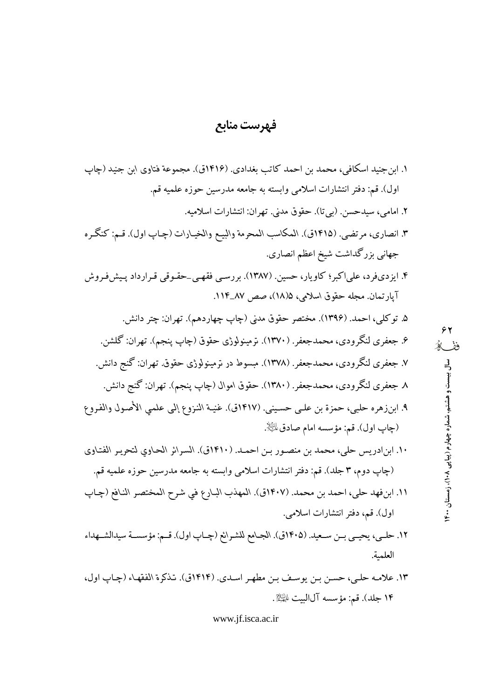# فهرست منابع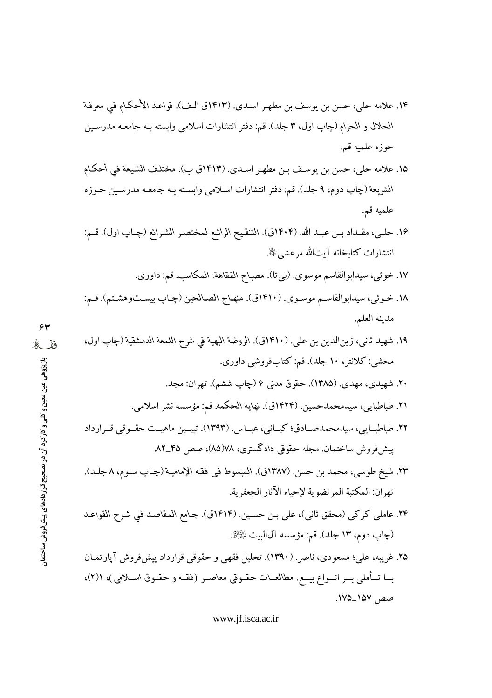- ١۴. علامه حلي، حسن بن يوسف بن مطهر اسـدي. (١٤١٣ق الـف). قواعـد الأحكـام في معرفـة الحلال و الحرام (جاب اول، ٣ جلد). قم: دفتر انتشارات اسلامي وابسته بـه جامعـه مدرسـين حوزه علميه قم.
- ١۵. علامه حلي، حسن بن يوسـف بـن مطهـر اسـدي. (١٤١٣ق ب). مختلـف الشيعة في أحكـام الشريعة (چاپ دوم، ۹ جلد). قم: دفتر انتشارات اسلامی وابسته بـه جامعـه مدرسـين حـوزه علميه قم.
- ١۶. حلـى، مقـداد بـن عبـد الله. (١٤٠۴ق). التنقيح الرائـع لمختصـر الشـرائع (چـاپ اول). قـم: انتشارات كتابخانه آيتالله مرعشى ﷺ.
	- ١٧. خوئي، سيدابوالقاسم موسوى. (بيتا). مصباح الفقاهة: المكاسب. قم: داوري.
- ١٨. خـوئي، سيدابوالقاسـم موسـوي. (١٤١٠ق). منهـاج الصـالحين (چـاپ بيسـتوهشـتم). قـم: مدينة العلم.
- ١٩. شهيد ثاني، زين الدين بن علي. (١٤١٠ق). الروضة البهية في شرح اللمعة الدمشقية (چاپ اول، محشى: كلانتر، ١٠ جلد). قم: كتابفروشي داوري.
	- ۲۰. شهیدی، مهدی. (۱۳۸۵). حقوق مدنی ۶ (چاپ ششم). تهران: مجد.
	- ٢١. طباطبايي، سيدمحمدحسين. (١٤٢٤ق). نهاية الحكمة. قم: مؤسسه نشر اسلامي.
	- ۲۲. طباطبیایی، سیدمحمدصیادق؛ کیسانی، عبیاس. (۱۳۹۳). تبیسین ماهیست حقسوقی قسرارداد ییش فروش ساختمان. مجله حقوقی دادگستری، ۷۸(۸۵)، صص ۴۵\_۸۲
	- ٢٣. شيخ طوسي، محمد بن حسن. (١٣٨٧ق). المبسوط في فقه الإماميـة (چـاپ سـوم، ٨ جلـد). تهران: المكتبة المرتضوية لإحياء الآثار الجعفرية.
	- ٢۴. عاملي كركي (محقق ثاني)، علي بـن حسـين. (١٤١۴ق). جـامع المقاصـد في شـرح القواعـد (چاپ دوم، ١٣ جلد). قم: مؤسسه آل|لبيت ﷺ.
	- ۲۵. غریبه، علی؛ مسعودی، ناصر. (۱۳۹۰). تحلیل فقهی و حقوقی قرارداد پیش فروش آپارتمـان بسا تــأملي بــر انــواع بيــع. مطالعــات حقــوفي معاصـر (فقــه و حقــوق اســلامي)، ((٢)، صص ١٥٧\_١٧٥.

www.jf.isca.ac.ir

 $\gamma$ ففگ بازپژوهی عین معین و کلی و کارکرد آن در تصحیح قراردادهای پیش فروش ساختمان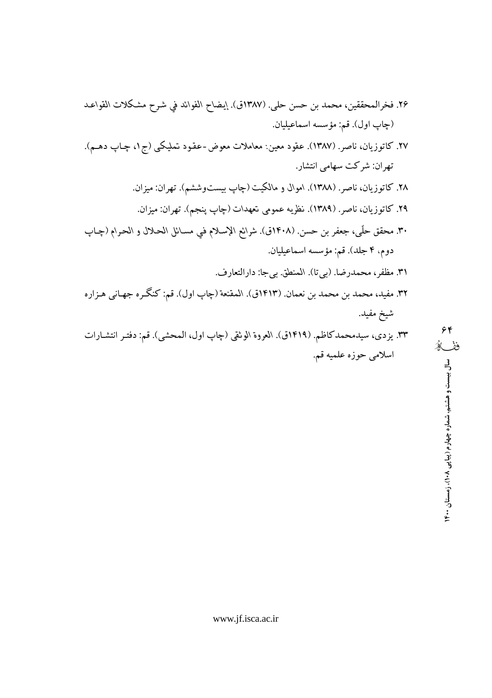- ٢۶. فخرالمحققين، محمد بن حسن حلي. (١٣٨٧ق). إيضاح الفوائد في شرح مشكلات القواعد (چاپ اول). قم: مؤسسه اسماعيليان.
- ۲۷. کاتوزیان، ناصر. (۱۳۸۷). عقود معین: معاملات معوض-عقود تملیکی (ج۱، چـاپ دهـم). تھران: شرکت سھامی انتشار.
	- ۲۸. کاتوزیان، ناصر. (۱۳۸۸). اموال و مالکیت (چاپ بیستوششم). تهران: میزان. ۲۹. کاتوزیان، ناصر. (۱۳۸۹). نظریه عمومی تعهدات (چاپ پنجم). تهران: میزان.
- ٣٠. محقق حلَّى، جعفر بن حسن. (١۴٠٨ق). شرائع الإسلام في مسـائل الحـلال و الحـرام (چـاپ دوم، ۴ جلد). قم: مؤسسه اسماعيليان.
- ٣١. مظفر، محمدرضا. (بيتا). المنطق. بيجا: دارالتعارف. ٣٢. مفيد، محمد بن محمد بن نعمان. (١٤١٣ق). المقنعة (چاپ اول). قم: كنگر ه جهـاني هـزاره شيخ مفيد.
- ٣٣. يزدي، سيدمحمد كاظم. (١٤١٩ق). العروة الوثقي (جاب اول، المحشى). قم: دفتـر انتشـارات اسلامي حوزه علميه قم.

۶۴ ففكه

سال بیست و هشتم، شماره چهارم (پیاپی ۱۰۸)، زمستان ۲۰۰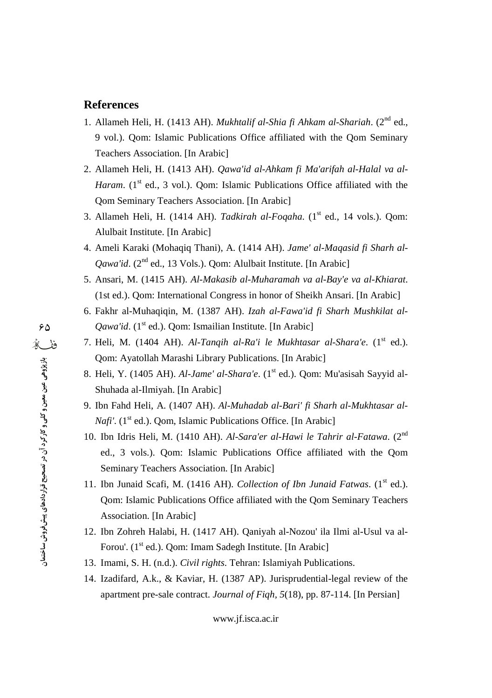#### **References**

- 1. Allameh Heli, H. (1413 AH). *Mukhtalif al-Shia fi Ahkam al-Shariah*. (2 nd ed., 9 vol.). Qom: Islamic Publications Office affiliated with the Qom Seminary Teachers Association. [In Arabic]
- 2. Allameh Heli, H. (1413 AH). *Qawa'id al-Ahkam fi Ma'arifah al-Halal va al-* Haram. (1<sup>st</sup> ed., 3 vol.). Qom: Islamic Publications Office affiliated with the Qom Seminary Teachers Association. [In Arabic]
- 3. Allameh Heli, H. (1414 AH). *Tadkirah al-Foqaha*. (1 st ed., 14 vols.). Qom: Alulbait Institute. [In Arabic]
- 4. Ameli Karaki (Mohaqiq Thani), A. (1414 AH). *Jame' al-Maqasid fi Sharh al-* Qawa'id. (2<sup>nd</sup> ed., 13 Vols.). Qom: Alulbait Institute. [In Arabic]
- 5. Ansari, M. (1415 AH). *Al-Makasib al-Muharamah va al-Bay'e va al-Khiarat*. (1st ed.). Qom: International Congress in honor of Sheikh Ansari. [In Arabic]
- 6. Fakhr al-Muhaqiqin, M. (1387 AH). *Izah al-Fawa'id fi Sharh Mushkilat al-* Qawa'id. (1<sup>st</sup> ed.). Qom: Ismailian Institute. [In Arabic]
- 7. Heli, M. (1404 AH). *Al-Tanqih al-Ra'i le Mukhtasar al-Shara'e*. (1 st ed.). Qom: Ayatollah Marashi Library Publications. [In Arabic]
- 8. Heli, Y. (1405 AH). *Al-Jame' al-Shara'e*. (1 st ed.). Qom: Mu'asisah Sayyid al- Shuhada al-Ilmiyah. [In Arabic]
- 9. Ibn Fahd Heli, A. (1407 AH). *Al-Muhadab al-Bari' fi Sharh al-Mukhtasar al- Nafi'*. (1<sup>st</sup> ed.). Qom, Islamic Publications Office. [In Arabic]
- 10. Ibn Idris Heli, M. (1410 AH). *Al-Sara'er al-Hawi le Tahrir al-Fatawa*. (2 nd ed., 3 vols.). Qom: Islamic Publications Office affiliated with the Qom Seminary Teachers Association. [In Arabic]
- 11. Ibn Junaid Scafi, M. (1416 AH). *Collection of Ibn Junaid Fatwas*. (1 st ed.). Qom: Islamic Publications Office affiliated with the Qom Seminary Teachers Association. [In Arabic]
- 12. Ibn Zohreh Halabi, H. (1417 AH). Qaniyah al-Nozou' ila Ilmi al-Usul va al- Forou'. (1<sup>st</sup> ed.). Qom: Imam Sadegh Institute. [In Arabic]
- 13. Imami, S. H. (n.d.). *Civil rights*. Tehran: Islamiyah Publications.
- 14. Izadifard, A.k., & Kaviar, H. (1387 AP). Jurisprudential-legal review of the apartment pre-sale contract. *Journal of Fiqh, 5*(18), pp. 87-114. [In Persian]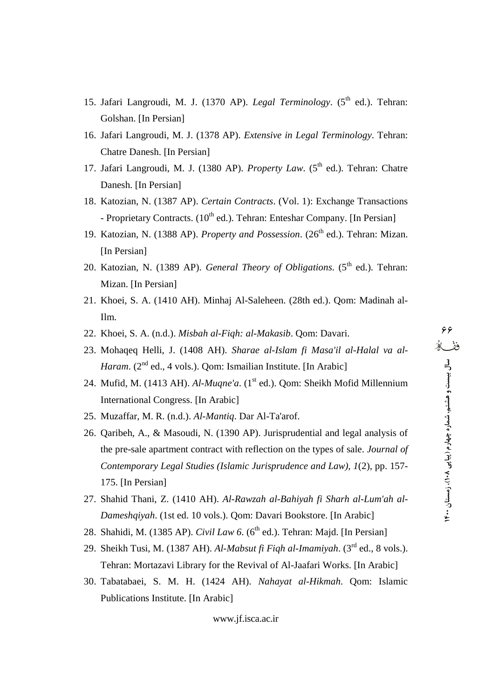- 15. Jafari Langroudi, M. J. (1370 AP). *Legal Terminology*. (5<sup>th</sup> ed.). Tehran: Golshan. [In Persian]
- 16. Jafari Langroudi, M. J. (1378 AP). *Extensive in Legal Terminology*. Tehran: Chatre Danesh. [In Persian]
- 17. Jafari Langroudi, M. J. (1380 AP). *Property Law*. (5<sup>th</sup> ed.). Tehran: Chatre Danesh. [In Persian]
- 18. Katozian, N. (1387 AP). *Certain Contracts*. (Vol. 1): Exchange Transactions - Proprietary Contracts. (10<sup>th</sup> ed.). Tehran: Enteshar Company. [In Persian]
- 19. Katozian, N. (1388 AP). *Property and Possession*. (26<sup>th</sup> ed.). Tehran: Mizan. [In Persian]
- 20. Katozian, N. (1389 AP). *General Theory of Obligations*. (5<sup>th</sup> ed.). Tehran: Mizan. [In Persian]
- 21. Khoei, S. A. (1410 AH). Minhaj Al-Saleheen. (28th ed.). Qom: Madinah al-Ilm.
- 22. Khoei, S. A. (n.d.). *Misbah al-Fiqh: al-Makasib*. Qom: Davari.
- 23. Mohaqeq Helli, J. (1408 AH). *Sharae al-Islam fi Masa'il al-Halal va al-* Haram. (2<sup>nd</sup> ed., 4 vols.). Qom: Ismailian Institute. [In Arabic]
- 24. Mufid, M. (1413 AH). *Al-Muqne'a*. (1<sup>st</sup> ed.). Qom: Sheikh Mofid Millennium 3. International Congress. [In Arabic]
- 25. Muzaffar, M. R. (n.d.). *Al-Mantiq*. Dar Al-Ta'arof.
- 26. Qaribeh, A., & Masoudi, N. (1390 AP). Jurisprudential and legal analysis of the pre-sale apartment contract with reflection on the types of sale. *Journal of Contemporary Legal Studies (Islamic Jurisprudence and Law), 1*(2), pp. 157- 175. [In Persian]
- 27. Shahid Thani, Z. (1410 AH). *Al-Rawzah al-Bahiyah fi Sharh al-Lum'ah al- Dameshqiyah*. (1st ed. 10 vols.). Qom: Davari Bookstore. [In Arabic]
- 28. Shahidi, M. (1385 AP). *Civil Law 6*. (6 th ed.). Tehran: Majd. [In Persian]
- 29. Sheikh Tusi, M. (1387 AH). *Al-Mabsut fi Fiqh al-Imamiyah*. (3 rd ed., 8 vols.). Tehran: Mortazavi Library for the Revival of Al-Jaafari Works. [In Arabic]
- 30. Tabatabaei, S. M. H. (1424 AH). *Nahayat al-Hikmah*. Qom: Islamic Publications Institute. [In Arabic]